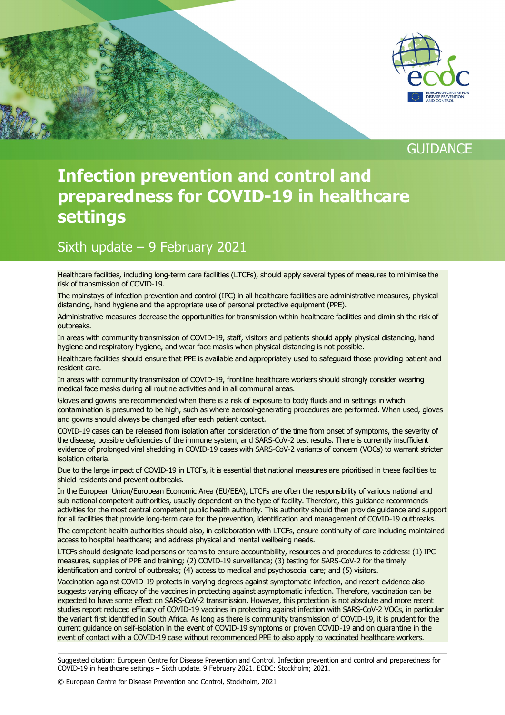

## **GUIDANCE**

# **Infection prevention and control and preparedness for COVID-19 in healthcare settings**

### Sixth update – 9 February 2021

Healthcare facilities, including long-term care facilities (LTCFs), should apply several types of measures to minimise the risk of transmission of COVID-19.

The mainstays of infection prevention and control (IPC) in all healthcare facilities are administrative measures, physical distancing, hand hygiene and the appropriate use of personal protective equipment (PPE).

Administrative measures decrease the opportunities for transmission within healthcare facilities and diminish the risk of outbreaks.

In areas with community transmission of COVID-19, staff, visitors and patients should apply physical distancing, hand hygiene and respiratory hygiene, and wear face masks when physical distancing is not possible.

Healthcare facilities should ensure that PPE is available and appropriately used to safeguard those providing patient and resident care.

In areas with community transmission of COVID-19, frontline healthcare workers should strongly consider wearing medical face masks during all routine activities and in all communal areas.

Gloves and gowns are recommended when there is a risk of exposure to body fluids and in settings in which contamination is presumed to be high, such as where aerosol-generating procedures are performed. When used, gloves and gowns should always be changed after each patient contact.

COVID-19 cases can be released from isolation after consideration of the time from onset of symptoms, the severity of the disease, possible deficiencies of the immune system, and SARS-CoV-2 test results. There is currently insufficient evidence of prolonged viral shedding in COVID-19 cases with SARS-CoV-2 variants of concern (VOCs) to warrant stricter isolation criteria.

Due to the large impact of COVID-19 in LTCFs, it is essential that national measures are prioritised in these facilities to shield residents and prevent outbreaks.

In the European Union/European Economic Area (EU/EEA), LTCFs are often the responsibility of various national and sub-national competent authorities, usually dependent on the type of facility. Therefore, this guidance recommends activities for the most central competent public health authority. This authority should then provide guidance and support for all facilities that provide long-term care for the prevention, identification and management of COVID-19 outbreaks.

The competent health authorities should also, in collaboration with LTCFs, ensure continuity of care including maintained access to hospital healthcare; and address physical and mental wellbeing needs.

LTCFs should designate lead persons or teams to ensure accountability, resources and procedures to address: (1) IPC measures, supplies of PPE and training; (2) COVID-19 surveillance; (3) testing for SARS-CoV-2 for the timely identification and control of outbreaks; (4) access to medical and psychosocial care; and (5) visitors.

Vaccination against COVID-19 protects in varying degrees against symptomatic infection, and recent evidence also suggests varying efficacy of the vaccines in protecting against asymptomatic infection. Therefore, vaccination can be expected to have some effect on SARS-CoV-2 transmission. However, this protection is not absolute and more recent studies report reduced efficacy of COVID-19 vaccines in protecting against infection with SARS-CoV-2 VOCs, in particular the variant first identified in South Africa. As long as there is community transmission of COVID-19, it is prudent for the current guidance on self-isolation in the event of COVID-19 symptoms or proven COVID-19 and on quarantine in the event of contact with a COVID-19 case without recommended PPE to also apply to vaccinated healthcare workers.

Suggested citation: European Centre for Disease Prevention and Control. Infection prevention and control and preparedness for COVID-19 in healthcare settings – Sixth update. 9 February 2021. ECDC: Stockholm; 2021.

© European Centre for Disease Prevention and Control, Stockholm, 2021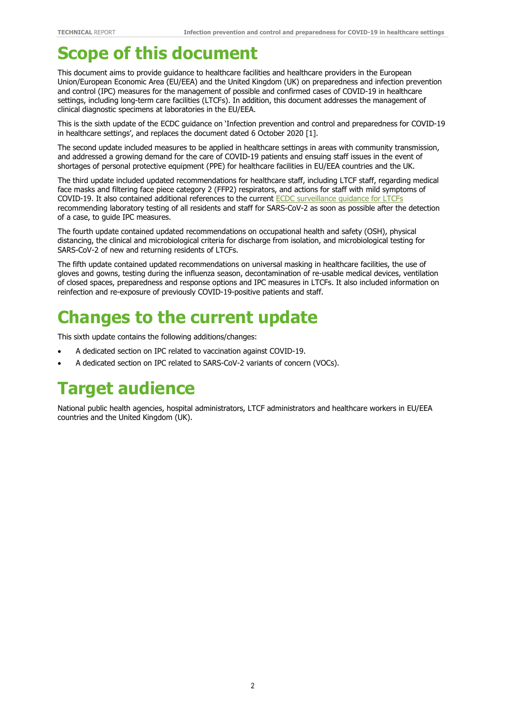# **Scope of this document**

This document aims to provide guidance to healthcare facilities and healthcare providers in the European Union/European Economic Area (EU/EEA) and the United Kingdom (UK) on preparedness and infection prevention and control (IPC) measures for the management of possible and confirmed cases of COVID-19 in healthcare settings, including long-term care facilities (LTCFs). In addition, this document addresses the management of clinical diagnostic specimens at laboratories in the EU/EEA.

This is the sixth update of the ECDC guidance on 'Infection prevention and control and preparedness for COVID-19 in healthcare settings', and replaces the document dated 6 October 2020 [1].

The second update included measures to be applied in healthcare settings in areas with community transmission, and addressed a growing demand for the care of COVID-19 patients and ensuing staff issues in the event of shortages of personal protective equipment (PPE) for healthcare facilities in EU/EEA countries and the UK.

The third update included updated recommendations for healthcare staff, including LTCF staff, regarding medical face masks and filtering face piece category 2 (FFP2) respirators, and actions for staff with mild symptoms of COVID-19. It also contained additional references to the current **ECDC** surveillance guidance for LTCFs recommending laboratory testing of all residents and staff for SARS-CoV-2 as soon as possible after the detection of a case, to guide IPC measures.

The fourth update contained updated recommendations on occupational health and safety (OSH), physical distancing, the clinical and microbiological criteria for discharge from isolation, and microbiological testing for SARS-CoV-2 of new and returning residents of LTCFs.

The fifth update contained updated recommendations on universal masking in healthcare facilities, the use of gloves and gowns, testing during the influenza season, decontamination of re-usable medical devices, ventilation of closed spaces, preparedness and response options and IPC measures in LTCFs. It also included information on reinfection and re-exposure of previously COVID-19-positive patients and staff.

# **Changes to the current update**

This sixth update contains the following additions/changes:

- A dedicated section on IPC related to vaccination against COVID-19.
- A dedicated section on IPC related to SARS-CoV-2 variants of concern (VOCs).

# **Target audience**

National public health agencies, hospital administrators, LTCF administrators and healthcare workers in EU/EEA countries and the United Kingdom (UK).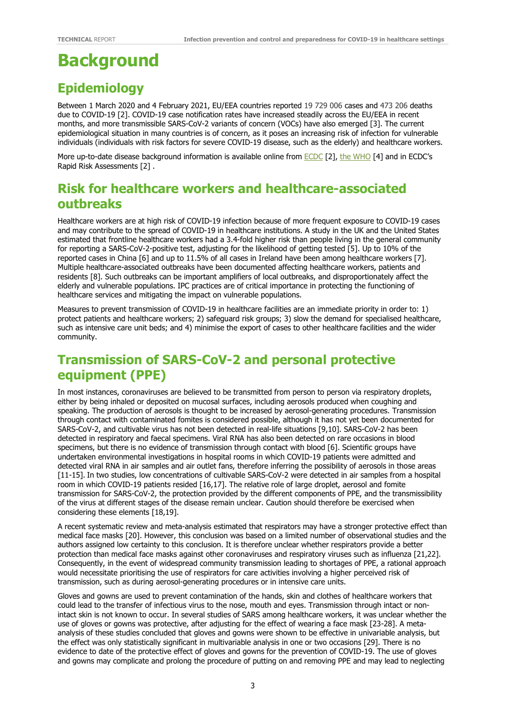# **Background**

## **Epidemiology**

Between 1 March 2020 and 4 February 2021, EU/EEA countries reported 19 729 006 cases and 473 206 deaths due to COVID-19 [2]. COVID-19 case notification rates have increased steadily across the EU/EEA in recent months, and more transmissible SARS-CoV-2 variants of concern (VOCs) have also emerged [3]. The current epidemiological situation in many countries is of concern, as it poses an increasing risk of infection for vulnerable individuals (individuals with risk factors for severe COVID-19 disease, such as the elderly) and healthcare workers.

More up-to-date disease background information is available online from [ECDC](https://www.ecdc.europa.eu/en/novel-coronavirus-china) [2], [the WHO](https://www.who.int/emergencies/diseases/novel-coronavirus-2019) [4] and in ECDC's Rapid Risk Assessments [2] .

## **Risk for healthcare workers and healthcare-associated outbreaks**

Healthcare workers are at high risk of COVID-19 infection because of more frequent exposure to COVID-19 cases and may contribute to the spread of COVID-19 in healthcare institutions. A study in the UK and the United States estimated that frontline healthcare workers had a 3.4-fold higher risk than people living in the general community for reporting a SARS-CoV-2-positive test, adjusting for the likelihood of getting tested [5]. Up to 10% of the reported cases in China [6] and up to 11.5% of all cases in Ireland have been among healthcare workers [7]. Multiple healthcare-associated outbreaks have been documented affecting healthcare workers, patients and residents [8]. Such outbreaks can be important amplifiers of local outbreaks, and disproportionately affect the elderly and vulnerable populations. IPC practices are of critical importance in protecting the functioning of healthcare services and mitigating the impact on vulnerable populations.

Measures to prevent transmission of COVID-19 in healthcare facilities are an immediate priority in order to: 1) protect patients and healthcare workers; 2) safeguard risk groups; 3) slow the demand for specialised healthcare, such as intensive care unit beds; and 4) minimise the export of cases to other healthcare facilities and the wider community.

## **Transmission of SARS-CoV-2 and personal protective equipment (PPE)**

In most instances, coronaviruses are believed to be transmitted from person to person via respiratory droplets, either by being inhaled or deposited on mucosal surfaces, including aerosols produced when coughing and speaking. The production of aerosols is thought to be increased by aerosol-generating procedures. Transmission through contact with contaminated fomites is considered possible, although it has not yet been documented for SARS-CoV-2, and cultivable virus has not been detected in real-life situations [9,10]. SARS-CoV-2 has been detected in respiratory and faecal specimens. Viral RNA has also been detected on rare occasions in blood specimens, but there is no evidence of transmission through contact with blood [6]. Scientific groups have undertaken environmental investigations in hospital rooms in which COVID-19 patients were admitted and detected viral RNA in air samples and air outlet fans, therefore inferring the possibility of aerosols in those areas [11-15]. In two studies, low concentrations of cultivable SARS-CoV-2 were detected in air samples from a hospital room in which COVID-19 patients resided [16,17]. The relative role of large droplet, aerosol and fomite transmission for SARS-CoV-2, the protection provided by the different components of PPE, and the transmissibility of the virus at different stages of the disease remain unclear. Caution should therefore be exercised when considering these elements [18,19].

A recent systematic review and meta-analysis estimated that respirators may have a stronger protective effect than medical face masks [20]. However, this conclusion was based on a limited number of observational studies and the authors assigned low certainty to this conclusion. It is therefore unclear whether respirators provide a better protection than medical face masks against other coronaviruses and respiratory viruses such as influenza [21,22]. Consequently, in the event of widespread community transmission leading to shortages of PPE, a rational approach would necessitate prioritising the use of respirators for care activities involving a higher perceived risk of transmission, such as during aerosol-generating procedures or in intensive care units.

Gloves and gowns are used to prevent contamination of the hands, skin and clothes of healthcare workers that could lead to the transfer of infectious virus to the nose, mouth and eyes. Transmission through intact or nonintact skin is not known to occur. In several studies of SARS among healthcare workers, it was unclear whether the use of gloves or gowns was protective, after adjusting for the effect of wearing a face mask [23-28]. Α metaanalysis of these studies concluded that gloves and gowns were shown to be effective in univariable analysis, but the effect was only statistically significant in multivariable analysis in one or two occasions [29]. There is no evidence to date of the protective effect of gloves and gowns for the prevention of COVID-19. The use of gloves and gowns may complicate and prolong the procedure of putting on and removing PPE and may lead to neglecting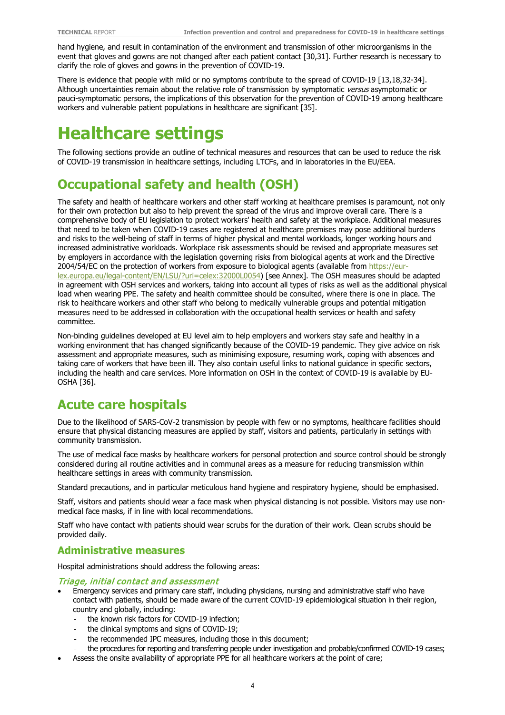hand hygiene, and result in contamination of the environment and transmission of other microorganisms in the event that gloves and gowns are not changed after each patient contact [30,31]. Further research is necessary to clarify the role of gloves and gowns in the prevention of COVID-19.

There is evidence that people with mild or no symptoms contribute to the spread of COVID-19 [13,18,32-34]. Although uncertainties remain about the relative role of transmission by symptomatic versus asymptomatic or pauci-symptomatic persons, the implications of this observation for the prevention of COVID-19 among healthcare workers and vulnerable patient populations in healthcare are significant [35].

# **Healthcare settings**

The following sections provide an outline of technical measures and resources that can be used to reduce the risk of COVID-19 transmission in healthcare settings, including LTCFs, and in laboratories in the EU/EEA.

## **Occupational safety and health (OSH)**

The safety and health of healthcare workers and other staff working at healthcare premises is paramount, not only for their own protection but also to help prevent the spread of the virus and improve overall care. There is a comprehensive body of EU legislation to protect workers' health and safety at the workplace. Additional measures that need to be taken when COVID-19 cases are registered at healthcare premises may pose additional burdens and risks to the well-being of staff in terms of higher physical and mental workloads, longer working hours and increased administrative workloads. Workplace risk assessments should be revised and appropriate measures set by employers in accordance with the legislation governing risks from biological agents at work and the Directive 2004/54/EC on the protection of workers from exposure to biological agents (available from [https://eur](https://eur-lex.europa.eu/legal-content/EN/LSU/?uri=celex:32000L0054)[lex.europa.eu/legal-content/EN/LSU/?uri=celex:32000L0054\)](https://eur-lex.europa.eu/legal-content/EN/LSU/?uri=celex:32000L0054) [see Annex]. The OSH measures should be adapted in agreement with OSH services and workers, taking into account all types of risks as well as the additional physical load when wearing PPE. The safety and health committee should be consulted, where there is one in place. The risk to healthcare workers and other staff who belong to medically vulnerable groups and potential mitigation measures need to be addressed in collaboration with the occupational health services or health and safety committee.

Non-binding guidelines developed at EU level aim to help employers and workers stay safe and healthy in a working environment that has changed significantly because of the COVID-19 pandemic. They give advice on risk assessment and appropriate measures, such as minimising exposure, resuming work, coping with absences and taking care of workers that have been ill. They also contain useful links to national guidance in specific sectors, including the health and care services. More information on OSH in the context of COVID-19 is available by EU-OSHA [36].

## **Acute care hospitals**

Due to the likelihood of SARS-CoV-2 transmission by people with few or no symptoms, healthcare facilities should ensure that physical distancing measures are applied by staff, visitors and patients, particularly in settings with community transmission.

The use of medical face masks by healthcare workers for personal protection and source control should be strongly considered during all routine activities and in communal areas as a measure for reducing transmission within healthcare settings in areas with community transmission.

Standard precautions, and in particular meticulous hand hygiene and respiratory hygiene, should be emphasised.

Staff, visitors and patients should wear a face mask when physical distancing is not possible. Visitors may use nonmedical face masks, if in line with local recommendations.

Staff who have contact with patients should wear scrubs for the duration of their work. Clean scrubs should be provided daily.

#### **Administrative measures**

Hospital administrations should address the following areas:

#### Triage, initial contact and assessment

- Emergency services and primary care staff, including physicians, nursing and administrative staff who have contact with patients, should be made aware of the current COVID-19 epidemiological situation in their region, country and globally, including:
	- the known risk factors for COVID-19 infection;
	- the clinical symptoms and signs of COVID-19;
	- the recommended IPC measures, including those in this document;
	- the procedures for reporting and transferring people under investigation and probable/confirmed COVID-19 cases;
- Assess the onsite availability of appropriate PPE for all healthcare workers at the point of care;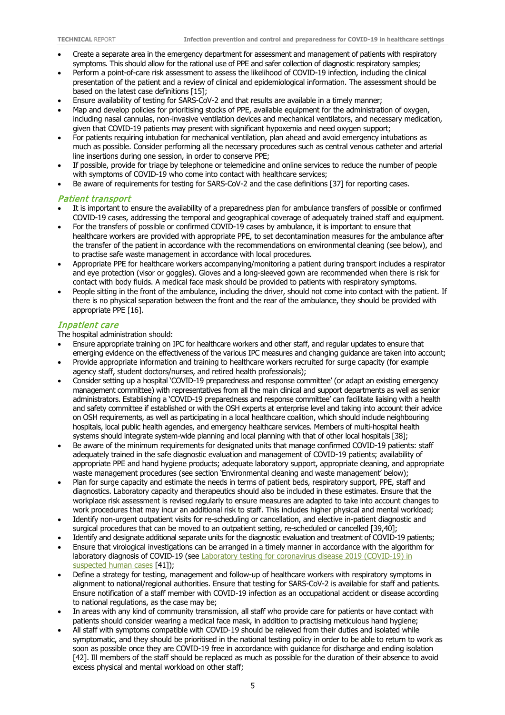- Create a separate area in the emergency department for assessment and management of patients with respiratory symptoms. This should allow for the rational use of PPE and safer collection of diagnostic respiratory samples;
- Perform a point-of-care risk assessment to assess the likelihood of COVID-19 infection, including the clinical presentation of the patient and a review of clinical and epidemiological information. The assessment should be based on the latest case definitions [15];
- Ensure availability of testing for SARS-CoV-2 and that results are available in a timely manner;
- Map and develop policies for prioritising stocks of PPE, available equipment for the administration of oxygen, including nasal cannulas, non-invasive ventilation devices and mechanical ventilators, and necessary medication, given that COVID-19 patients may present with significant hypoxemia and need oxygen support;
- For patients requiring intubation for mechanical ventilation, plan ahead and avoid emergency intubations as much as possible. Consider performing all the necessary procedures such as central venous catheter and arterial line insertions during one session, in order to conserve PPE;
- If possible, provide for triage by telephone or telemedicine and online services to reduce the number of people with symptoms of COVID-19 who come into contact with healthcare services:
- Be aware of requirements for testing for SARS-CoV-2 and the case definitions [37] for reporting cases.

#### Patient transport

- It is important to ensure the availability of a preparedness plan for ambulance transfers of possible or confirmed COVID-19 cases, addressing the temporal and geographical coverage of adequately trained staff and equipment.
- For the transfers of possible or confirmed COVID-19 cases by ambulance, it is important to ensure that healthcare workers are provided with appropriate PPE, to set decontamination measures for the ambulance after the transfer of the patient in accordance with the recommendations on environmental cleaning (see below), and to practise safe waste management in accordance with local procedures.
- Appropriate PPE for healthcare workers accompanying/monitoring a patient during transport includes a respirator and eye protection (visor or goggles). Gloves and a long-sleeved gown are recommended when there is risk for contact with body fluids. A medical face mask should be provided to patients with respiratory symptoms.
- People sitting in the front of the ambulance, including the driver, should not come into contact with the patient. If there is no physical separation between the front and the rear of the ambulance, they should be provided with appropriate PPE [16].

#### Inpatient care

The hospital administration should:

- Ensure appropriate training on IPC for healthcare workers and other staff, and regular updates to ensure that emerging evidence on the effectiveness of the various IPC measures and changing guidance are taken into account;
- Provide appropriate information and training to healthcare workers recruited for surge capacity (for example agency staff, student doctors/nurses, and retired health professionals);
- Consider setting up a hospital 'COVID-19 preparedness and response committee' (or adapt an existing emergency management committee) with representatives from all the main clinical and support departments as well as senior administrators. Establishing a 'COVID-19 preparedness and response committee' can facilitate liaising with a health and safety committee if established or with the OSH experts at enterprise level and taking into account their advice on OSH requirements, as well as participating in a local healthcare coalition, which should include neighbouring hospitals, local public health agencies, and emergency healthcare services. Members of multi-hospital health systems should integrate system-wide planning and local planning with that of other local hospitals [38];
- Be aware of the minimum requirements for designated units that manage confirmed COVID-19 patients: staff adequately trained in the safe diagnostic evaluation and management of COVID-19 patients; availability of appropriate PPE and hand hygiene products; adequate laboratory support, appropriate cleaning, and appropriate waste management procedures (see section 'Environmental cleaning and waste management' below);
- Plan for surge capacity and estimate the needs in terms of patient beds, respiratory support, PPE, staff and diagnostics. Laboratory capacity and therapeutics should also be included in these estimates. Ensure that the workplace risk assessment is revised regularly to ensure measures are adapted to take into account changes to work procedures that may incur an additional risk to staff. This includes higher physical and mental workload;
- Identify non-urgent outpatient visits for re-scheduling or cancellation, and elective in-patient diagnostic and surgical procedures that can be moved to an outpatient setting, re-scheduled or cancelled [39,40];
- Identify and designate additional separate units for the diagnostic evaluation and treatment of COVID-19 patients;
- Ensure that virological investigations can be arranged in a timely manner in accordance with the algorithm for laboratory diagnosis of COVID-19 (see Laboratory testing for coronavirus disease 2019 (COVID-19) in [suspected human cases](https://www.who.int/publications-detail/laboratory-testing-for-2019-novel-coronavirus-in-suspected-human-cases-20200117) [41]);
- Define a strategy for testing, management and follow-up of healthcare workers with respiratory symptoms in alignment to national/regional authorities. Ensure that testing for SARS-CoV-2 is available for staff and patients. Ensure notification of a staff member with COVID-19 infection as an occupational accident or disease according to national regulations, as the case may be;
- In areas with any kind of community transmission, all staff who provide care for patients or have contact with patients should consider wearing a medical face mask, in addition to practising meticulous hand hygiene;
- All staff with symptoms compatible with COVID-19 should be relieved from their duties and isolated while symptomatic, and they should be prioritised in the national testing policy in order to be able to return to work as soon as possible once they are COVID-19 free in accordance with guidance for discharge and ending isolation [42]. Ill members of the staff should be replaced as much as possible for the duration of their absence to avoid excess physical and mental workload on other staff;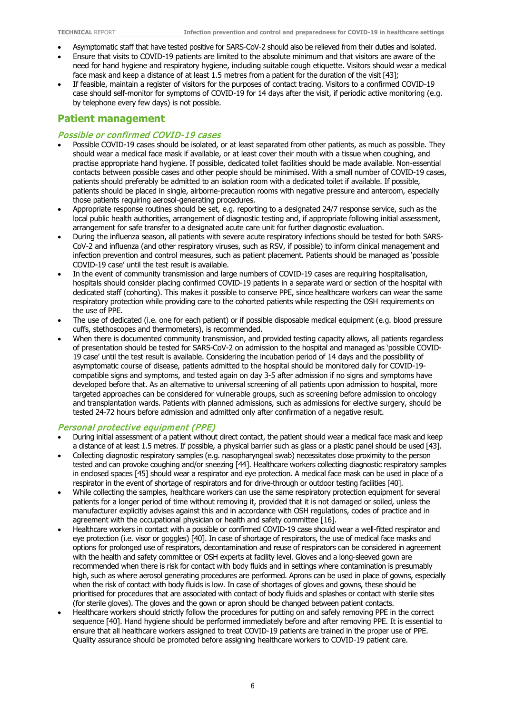- Asymptomatic staff that have tested positive for SARS-CoV-2 should also be relieved from their duties and isolated.
- Ensure that visits to COVID-19 patients are limited to the absolute minimum and that visitors are aware of the need for hand hygiene and respiratory hygiene, including suitable cough etiquette. Visitors should wear a medical face mask and keep a distance of at least 1.5 metres from a patient for the duration of the visit [43];
- If feasible, maintain a register of visitors for the purposes of contact tracing. Visitors to a confirmed COVID-19 case should self-monitor for symptoms of COVID-19 for 14 days after the visit, if periodic active monitoring (e.g. by telephone every few days) is not possible.

#### **Patient management**

#### Possible or confirmed COVID-19 cases

- Possible COVID-19 cases should be isolated, or at least separated from other patients, as much as possible. They should wear a medical face mask if available, or at least cover their mouth with a tissue when coughing, and practise appropriate hand hygiene. If possible, dedicated toilet facilities should be made available. Non-essential contacts between possible cases and other people should be minimised. With a small number of COVID-19 cases, patients should preferably be admitted to an isolation room with a dedicated toilet if available. If possible, patients should be placed in single, airborne-precaution rooms with negative pressure and anteroom, especially those patients requiring aerosol-generating procedures.
- Appropriate response routines should be set, e.g. reporting to a designated 24/7 response service, such as the local public health authorities, arrangement of diagnostic testing and, if appropriate following initial assessment, arrangement for safe transfer to a designated acute care unit for further diagnostic evaluation.
- During the influenza season, all patients with severe acute respiratory infections should be tested for both SARS-CoV-2 and influenza (and other respiratory viruses, such as RSV, if possible) to inform clinical management and infection prevention and control measures, such as patient placement. Patients should be managed as 'possible COVID-19 case' until the test result is available.
- In the event of community transmission and large numbers of COVID-19 cases are requiring hospitalisation, hospitals should consider placing confirmed COVID-19 patients in a separate ward or section of the hospital with dedicated staff (cohorting). This makes it possible to conserve PPE, since healthcare workers can wear the same respiratory protection while providing care to the cohorted patients while respecting the OSH requirements on the use of PPE.
- The use of dedicated (i.e. one for each patient) or if possible disposable medical equipment (e.g. blood pressure cuffs, stethoscopes and thermometers), is recommended.
- When there is documented community transmission, and provided testing capacity allows, all patients regardless of presentation should be tested for SARS-CoV-2 on admission to the hospital and managed as 'possible COVID-19 case' until the test result is available. Considering the incubation period of 14 days and the possibility of asymptomatic course of disease, patients admitted to the hospital should be monitored daily for COVID-19 compatible signs and symptoms, and tested again on day 3-5 after admission if no signs and symptoms have developed before that. As an alternative to universal screening of all patients upon admission to hospital, more targeted approaches can be considered for vulnerable groups, such as screening before admission to oncology and transplantation wards. Patients with planned admissions, such as admissions for elective surgery, should be tested 24-72 hours before admission and admitted only after confirmation of a negative result.

#### Personal protective equipment (PPE)

- During initial assessment of a patient without direct contact, the patient should wear a medical face mask and keep a distance of at least 1.5 metres. If possible, a physical barrier such as glass or a plastic panel should be used [43].
- Collecting diagnostic respiratory samples (e.g. nasopharyngeal swab) necessitates close proximity to the person tested and can provoke coughing and/or sneezing [44]. Healthcare workers collecting diagnostic respiratory samples in enclosed spaces [45] should wear a respirator and eye protection. A medical face mask can be used in place of a respirator in the event of shortage of respirators and for drive-through or outdoor testing facilities [40].
- While collecting the samples, healthcare workers can use the same respiratory protection equipment for several patients for a longer period of time without removing it, provided that it is not damaged or soiled, unless the manufacturer explicitly advises against this and in accordance with OSH regulations, codes of practice and in agreement with the occupational physician or health and safety committee [16].
- Healthcare workers in contact with a possible or confirmed COVID-19 case should wear a well-fitted respirator and eye protection (i.e. visor or goggles) [40]. In case of shortage of respirators, the use of medical face masks and options for prolonged use of respirators, decontamination and reuse of respirators can be considered in agreement with the health and safety committee or OSH experts at facility level. Gloves and a long-sleeved gown are recommended when there is risk for contact with body fluids and in settings where contamination is presumably high, such as where aerosol generating procedures are performed. Aprons can be used in place of gowns, especially when the risk of contact with body fluids is low. In case of shortages of gloves and gowns, these should be prioritised for procedures that are associated with contact of body fluids and splashes or contact with sterile sites (for sterile gloves). The gloves and the gown or apron should be changed between patient contacts.
- Healthcare workers should strictly follow the procedures for putting on and safely removing PPE in the correct sequence [40]. Hand hygiene should be performed immediately before and after removing PPE. It is essential to ensure that all healthcare workers assigned to treat COVID-19 patients are trained in the proper use of PPE. Quality assurance should be promoted before assigning healthcare workers to COVID-19 patient care.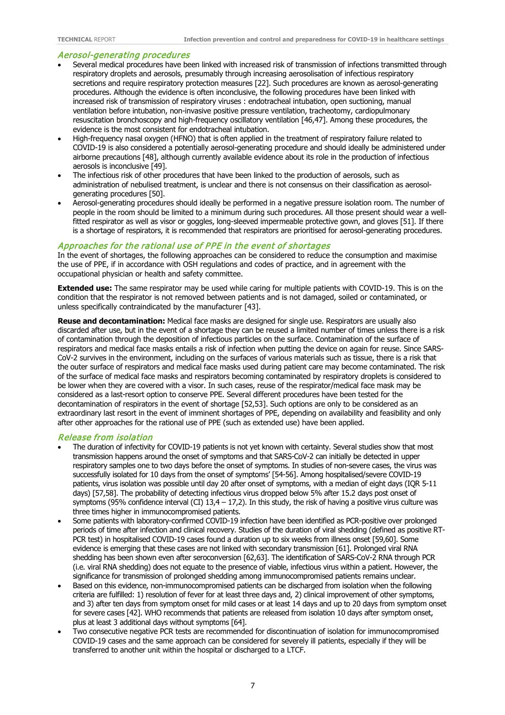#### Aerosol-generating procedures

- Several medical procedures have been linked with increased risk of transmission of infections transmitted through respiratory droplets and aerosols, presumably through increasing aerosolisation of infectious respiratory secretions and require respiratory protection measures [22]. Such procedures are known as aerosol-generating procedures. Although the evidence is often inconclusive, the following procedures have been linked with increased risk of transmission of respiratory viruses : endotracheal intubation, open suctioning, manual ventilation before intubation, non-invasive positive pressure ventilation, tracheotomy, cardiopulmonary resuscitation bronchoscopy and high-frequency oscillatory ventilation [46,47]. Among these procedures, the evidence is the most consistent for endotracheal intubation.
- High-frequency nasal oxygen (HFNO) that is often applied in the treatment of respiratory failure related to COVID-19 is also considered a potentially aerosol-generating procedure and should ideally be administered under airborne precautions [48], although currently available evidence about its role in the production of infectious aerosols is inconclusive [49].
- The infectious risk of other procedures that have been linked to the production of aerosols, such as administration of nebulised treatment, is unclear and there is not consensus on their classification as aerosolgenerating procedures [50].
- Aerosol-generating procedures should ideally be performed in a negative pressure isolation room. The number of people in the room should be limited to a minimum during such procedures. All those present should wear a wellfitted respirator as well as visor or goggles, long-sleeved impermeable protective gown, and gloves [51]. If there is a shortage of respirators, it is recommended that respirators are prioritised for aerosol-generating procedures.

#### Approaches for the rational use of PPE in the event of shortages

In the event of shortages, the following approaches can be considered to reduce the consumption and maximise the use of PPE, if in accordance with OSH regulations and codes of practice, and in agreement with the occupational physician or health and safety committee.

**Extended use:** The same respirator may be used while caring for multiple patients with COVID-19. This is on the condition that the respirator is not removed between patients and is not damaged, soiled or contaminated, or unless specifically contraindicated by the manufacturer [43].

**Reuse and decontamination:** Medical face masks are designed for single use. Respirators are usually also discarded after use, but in the event of a shortage they can be reused a limited number of times unless there is a risk of contamination through the deposition of infectious particles on the surface. Contamination of the surface of respirators and medical face masks entails a risk of infection when putting the device on again for reuse. Since SARS-CoV-2 survives in the environment, including on the surfaces of various materials such as tissue, there is a risk that the outer surface of respirators and medical face masks used during patient care may become contaminated. The risk of the surface of medical face masks and respirators becoming contaminated by respiratory droplets is considered to be lower when they are covered with a visor. In such cases, reuse of the respirator/medical face mask may be considered as a last-resort option to conserve PPE. Several different procedures have been tested for the decontamination of respirators in the event of shortage [52,53]. Such options are only to be considered as an extraordinary last resort in the event of imminent shortages of PPE, depending on availability and feasibility and only after other approaches for the rational use of PPE (such as extended use) have been applied.

#### Release from isolation

- The duration of infectivity for COVID-19 patients is not yet known with certainty. Several studies show that most transmission happens around the onset of symptoms and that SARS-CoV-2 can initially be detected in upper respiratory samples one to two days before the onset of symptoms. In studies of non-severe cases, the virus was successfully isolated for 10 days from the onset of symptoms' [54-56]. Among hospitalised/severe COVID-19 patients, virus isolation was possible until day 20 after onset of symptoms, with a median of eight days (IQR 5-11 days) [57,58]. The probability of detecting infectious virus dropped below 5% after 15.2 days post onset of symptoms (95% confidence interval (CI)  $13,4 - 17,2$ ). In this study, the risk of having a positive virus culture was three times higher in immunocompromised patients.
- Some patients with laboratory-confirmed COVID-19 infection have been identified as PCR-positive over prolonged periods of time after infection and clinical recovery. Studies of the duration of viral shedding (defined as positive RT-PCR test) in hospitalised COVID-19 cases found a duration up to six weeks from illness onset [59,60]. Some evidence is emerging that these cases are not linked with secondary transmission [61]. Prolonged viral RNA shedding has been shown even after seroconversion [62,63]. The identification of SARS-CoV-2 RNA through PCR (i.e. viral RNA shedding) does not equate to the presence of viable, infectious virus within a patient. However, the significance for transmission of prolonged shedding among immunocompromised patients remains unclear.
- Based on this evidence, non-immunocompromised patients can be discharged from isolation when the following criteria are fulfilled: 1) resolution of fever for at least three days and, 2) clinical improvement of other symptoms, and 3) after ten days from symptom onset for mild cases or at least 14 days and up to 20 days from symptom onset for severe cases [42]. WHO recommends that patients are released from isolation 10 days after symptom onset, plus at least 3 additional days without symptoms [64].
- Two consecutive negative PCR tests are recommended for discontinuation of isolation for immunocompromised COVID-19 cases and the same approach can be considered for severely ill patients, especially if they will be transferred to another unit within the hospital or discharged to a LTCF.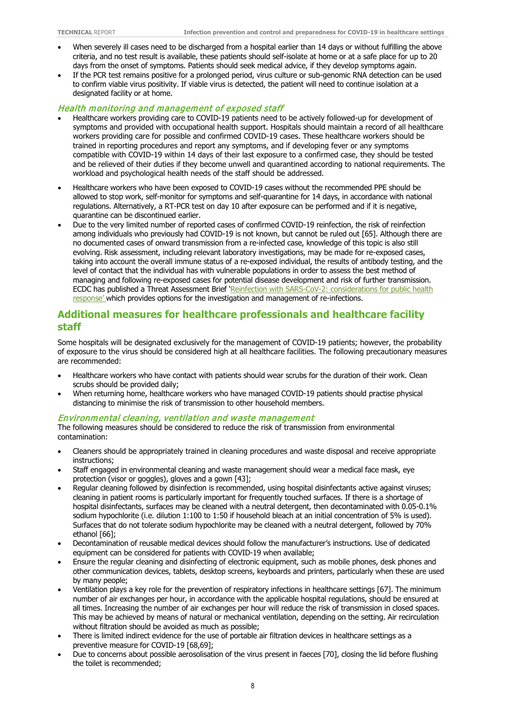- When severely ill cases need to be discharged from a hospital earlier than 14 days or without fulfilling the above criteria, and no test result is available, these patients should self-isolate at home or at a safe place for up to 20 days from the onset of symptoms. Patients should seek medical advice, if they develop symptoms again.
- If the PCR test remains positive for a prolonged period, virus culture or sub-genomic RNA detection can be used to confirm viable virus positivity. If viable virus is detected, the patient will need to continue isolation at a designated facility or at home.

#### Health monitoring and management of exposed staff

- Healthcare workers providing care to COVID-19 patients need to be actively followed-up for development of symptoms and provided with occupational health support. Hospitals should maintain a record of all healthcare workers providing care for possible and confirmed COVID-19 cases. These healthcare workers should be trained in reporting procedures and report any symptoms, and if developing fever or any symptoms compatible with COVID-19 within 14 days of their last exposure to a confirmed case, they should be tested and be relieved of their duties if they become unwell and quarantined according to national requirements. The workload and psychological health needs of the staff should be addressed.
- Healthcare workers who have been exposed to COVID-19 cases without the recommended PPE should be allowed to stop work, self-monitor for symptoms and self-quarantine for 14 days, in accordance with national regulations. Alternatively, a RT-PCR test on day 10 after exposure can be performed and if it is negative, quarantine can be discontinued earlier.
- Due to the very limited number of reported cases of confirmed COVID-19 reinfection, the risk of reinfection among individuals who previously had COVID-19 is not known, but cannot be ruled out [65]. Although there are no documented cases of onward transmission from a re-infected case, knowledge of this topic is also still evolving. Risk assessment, including relevant laboratory investigations, may be made for re-exposed cases, taking into account the overall immune status of a re-exposed individual, the results of antibody testing, and the level of contact that the individual has with vulnerable populations in order to assess the best method of managing and following re-exposed cases for potential disease development and risk of further transmission. ECDC has published a Threat Assessment Brief 'Reinfection with SARS-CoV-2: considerations for public health [response' w](https://www.ecdc.europa.eu/en/publications-data/threat-assessment-brief-reinfection-sars-cov-2)hich provides options for the investigation and management of re-infections.

#### **Additional measures for healthcare professionals and healthcare facility staff**

Some hospitals will be designated exclusively for the management of COVID-19 patients; however, the probability of exposure to the virus should be considered high at all healthcare facilities. The following precautionary measures are recommended:

- Healthcare workers who have contact with patients should wear scrubs for the duration of their work. Clean scrubs should be provided daily;
- When returning home, healthcare workers who have managed COVID-19 patients should practise physical distancing to minimise the risk of transmission to other household members.

#### Environmental cleaning, ventilation and waste management

The following measures should be considered to reduce the risk of transmission from environmental contamination:

- Cleaners should be appropriately trained in cleaning procedures and waste disposal and receive appropriate instructions;
- Staff engaged in environmental cleaning and waste management should wear a medical face mask, eye protection (visor or goggles), gloves and a gown [43];
- Regular cleaning followed by disinfection is recommended, using hospital disinfectants active against viruses; cleaning in patient rooms is particularly important for frequently touched surfaces. If there is a shortage of hospital disinfectants, surfaces may be cleaned with a neutral detergent, then decontaminated with 0.05-0.1% sodium hypochlorite (i.e. dilution 1:100 to 1:50 if household bleach at an initial concentration of 5% is used). Surfaces that do not tolerate sodium hypochlorite may be cleaned with a neutral detergent, followed by 70% ethanol [66];
- Decontamination of reusable medical devices should follow the manufacturer's instructions. Use of dedicated equipment can be considered for patients with COVID-19 when available;
- Ensure the regular cleaning and disinfecting of electronic equipment, such as mobile phones, desk phones and other communication devices, tablets, desktop screens, keyboards and printers, particularly when these are used by many people;
- Ventilation plays a key role for the prevention of respiratory infections in healthcare settings [67]. The minimum number of air exchanges per hour, in accordance with the applicable hospital regulations, should be ensured at all times. Increasing the number of air exchanges per hour will reduce the risk of transmission in closed spaces. This may be achieved by means of natural or mechanical ventilation, depending on the setting. Air recirculation without filtration should be avoided as much as possible;
- There is limited indirect evidence for the use of portable air filtration devices in healthcare settings as a preventive measure for COVID-19 [68,69];
- Due to concerns about possible aerosolisation of the virus present in faeces [70], closing the lid before flushing the toilet is recommended;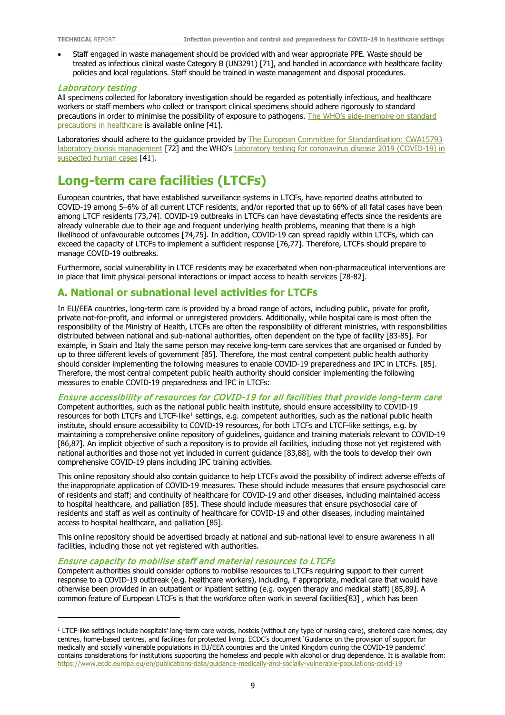$\overline{a}$ 

• Staff engaged in waste management should be provided with and wear appropriate PPE. Waste should be treated as infectious clinical waste Category B (UN3291) [71], and handled in accordance with healthcare facility policies and local regulations. Staff should be trained in waste management and disposal procedures.

#### Laboratory testing

All specimens collected for laboratory investigation should be regarded as potentially infectious, and healthcare workers or staff members who collect or transport clinical specimens should adhere rigorously to standard precautions in order to minimise the possibility of exposure to pathogens. The WHO's [aide-memoire on standard](http://www.who.int/csr/resources/publications/EPR_AM2_E7.pdf)  [precautions in healthcare](http://www.who.int/csr/resources/publications/EPR_AM2_E7.pdf) is available online [41].

Laboratories should adhere to the guidance provided by The European Committee for Standardisation: CWA15793 [laboratory biorisk management](https://www.uab.cat/doc/CWA15793_2011) [72] and the WHO's Laboratory testing for coronavirus disease 2019 (COVID-19) in [suspected human cases](https://www.who.int/publications-detail/laboratory-testing-for-2019-novel-coronavirus-in-suspected-human-cases-20200117) [41].

## **Long-term care facilities (LTCFs)**

European countries, that have established surveillance systems in LTCFs, have reported deaths attributed to COVID-19 among 5−6% of all current LTCF residents, and/or reported that up to 66% of all fatal cases have been among LTCF residents [73,74]. COVID-19 outbreaks in LTCFs can have devastating effects since the residents are already vulnerable due to their age and frequent underlying health problems, meaning that there is a high likelihood of unfavourable outcomes [74,75]. In addition, COVID-19 can spread rapidly within LTCFs, which can exceed the capacity of LTCFs to implement a sufficient response [76,77]. Therefore, LTCFs should prepare to manage COVID-19 outbreaks.

Furthermore, social vulnerability in LTCF residents may be exacerbated when non-pharmaceutical interventions are in place that limit physical personal interactions or impact access to health services [78-82].

#### **A. National or subnational level activities for LTCFs**

In EU/EEA countries, long-term care is provided by a broad range of actors, including public, private for profit, private not-for-profit, and informal or unregistered providers. Additionally, while hospital care is most often the responsibility of the Ministry of Health, LTCFs are often the responsibility of different ministries, with responsibilities distributed between national and sub-national authorities, often dependent on the type of facility [83-85]. For example, in Spain and Italy the same person may receive long-term care services that are organised or funded by up to three different levels of government [85]. Therefore, the most central competent public health authority should consider implementing the following measures to enable COVID-19 preparedness and IPC in LTCFs. [85]. Therefore, the most central competent public health authority should consider implementing the following measures to enable COVID-19 preparedness and IPC in LTCFs:

#### Ensure accessibility of resources for COVID-19 for all facilities that provide long-term care

Competent authorities, such as the national public health institute, should ensure accessibility to COVID-19 resources for both LTCFs and LTCF-like<sup>[1](#page-8-0)</sup> settings, e.g. competent authorities, such as the national public health institute, should ensure accessibility to COVID-19 resources, for both LTCFs and LTCF-like settings, e.g. by maintaining a comprehensive online repository of guidelines, guidance and training materials relevant to COVID-19 [86,87]. An implicit objective of such a repository is to provide all facilities, including those not yet registered with national authorities and those not yet included in current guidance [83,88], with the tools to develop their own comprehensive COVID-19 plans including IPC training activities.

This online repository should also contain guidance to help LTCFs avoid the possibility of indirect adverse effects of the inappropriate application of COVID-19 measures. These should include measures that ensure psychosocial care of residents and staff; and continuity of healthcare for COVID-19 and other diseases, including maintained access to hospital healthcare, and palliation [85]. These should include measures that ensure psychosocial care of residents and staff as well as continuity of healthcare for COVID-19 and other diseases, including maintained access to hospital healthcare, and palliation [85].

This online repository should be advertised broadly at national and sub-national level to ensure awareness in all facilities, including those not yet registered with authorities.

#### Ensure capacity to mobilise staff and material resources to LTCFs

Competent authorities should consider options to mobilise resources to LTCFs requiring support to their current response to a COVID-19 outbreak (e.g. healthcare workers), including, if appropriate, medical care that would have otherwise been provided in an outpatient or inpatient setting (e.g. oxygen therapy and medical staff) [85,89]. A common feature of European LTCFs is that the workforce often work in several facilities[83] , which has been

<span id="page-8-0"></span><sup>&</sup>lt;sup>1</sup> LTCF-like settings include hospitals' long-term care wards, hostels (without any type of nursing care), sheltered care homes, day centres, home-based centres, and facilities for protected living. ECDC's document 'Guidance on the provision of support for medically and socially vulnerable populations in EU/EEA countries and the United Kingdom during the COVID-19 pandemic' contains considerations for institutions supporting the homeless and people with alcohol or drug dependence. It is available from: <https://www.ecdc.europa.eu/en/publications-data/guidance-medically-and-socially-vulnerable-populations-covid-19>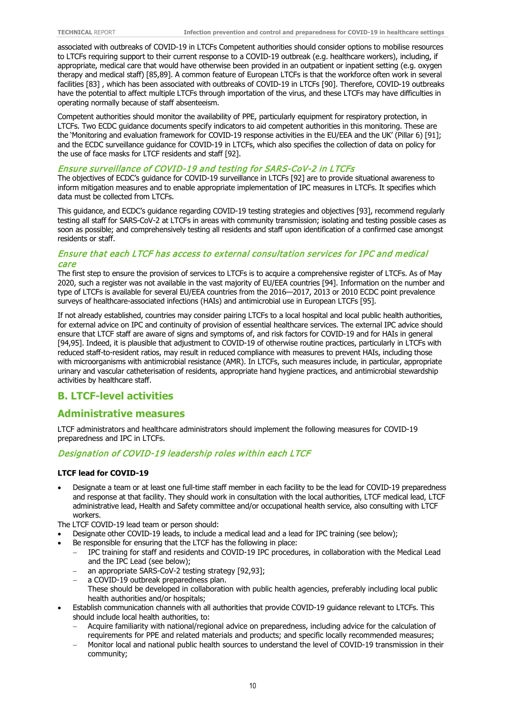associated with outbreaks of COVID-19 in LTCFs Competent authorities should consider options to mobilise resources to LTCFs requiring support to their current response to a COVID-19 outbreak (e.g. healthcare workers), including, if appropriate, medical care that would have otherwise been provided in an outpatient or inpatient setting (e.g. oxygen therapy and medical staff) [85,89]. A common feature of European LTCFs is that the workforce often work in several facilities [83] , which has been associated with outbreaks of COVID-19 in LTCFs [90]. Therefore, COVID-19 outbreaks have the potential to affect multiple LTCFs through importation of the virus, and these LTCFs may have difficulties in operating normally because of staff absenteeism.

Competent authorities should monitor the availability of PPE, particularly equipment for respiratory protection, in LTCFs. Two ECDC guidance documents specify indicators to aid competent authorities in this monitoring. These are the 'Monitoring and evaluation framework for COVID-19 response activities in the EU/EEA and the UK' (Pillar 6) [91]; and the ECDC surveillance guidance for COVID-19 in LTCFs, which also specifies the collection of data on policy for the use of face masks for LTCF residents and staff [92].

#### Ensure surveillance of COVID-19 and testing for SARS-CoV-2 in LTCFs

The objectives of ECDC's guidance for COVID-19 surveillance in LTCFs [92] are to provide situational awareness to inform mitigation measures and to enable appropriate implementation of IPC measures in LTCFs. It specifies which data must be collected from LTCFs.

This guidance, and ECDC's guidance regarding COVID-19 testing strategies and objectives [93], recommend regularly testing all staff for SARS-CoV-2 at LTCFs in areas with community transmission; isolating and testing possible cases as soon as possible; and comprehensively testing all residents and staff upon identification of a confirmed case amongst residents or staff.

#### Ensure that each LTCF has access to external consultation services for IPC and medical care

The first step to ensure the provision of services to LTCFs is to acquire a comprehensive register of LTCFs. As of May 2020, such a register was not available in the vast majority of EU/EEA countries [94]. Information on the number and type of LTCFs is available for several EU/EEA countries from the 2016—2017, 2013 or 2010 ECDC point prevalence surveys of healthcare-associated infections (HAIs) and antimicrobial use in European LTCFs [95].

If not already established, countries may consider pairing LTCFs to a local hospital and local public health authorities, for external advice on IPC and continuity of provision of essential healthcare services. The external IPC advice should ensure that LTCF staff are aware of signs and symptoms of, and risk factors for COVID-19 and for HAIs in general [94,95]. Indeed, it is plausible that adjustment to COVID-19 of otherwise routine practices, particularly in LTCFs with reduced staff-to-resident ratios, may result in reduced compliance with measures to prevent HAIs, including those with microorganisms with antimicrobial resistance (AMR). In LTCFs, such measures include, in particular, appropriate urinary and vascular catheterisation of residents, appropriate hand hygiene practices, and antimicrobial stewardship activities by healthcare staff.

#### **B. LTCF-level activities**

#### **Administrative measures**

LTCF administrators and healthcare administrators should implement the following measures for COVID-19 preparedness and IPC in LTCFs.

#### Designation of COVID-19 leadership roles within each LTCF

#### **LTCF lead for COVID-19**

• Designate a team or at least one full-time staff member in each facility to be the lead for COVID-19 preparedness and response at that facility. They should work in consultation with the local authorities, LTCF medical lead, LTCF administrative lead, Health and Safety committee and/or occupational health service, also consulting with LTCF workers.

The LTCF COVID-19 lead team or person should:

- Designate other COVID-19 leads, to include a medical lead and a lead for IPC training (see below);
- Be responsible for ensuring that the LTCF has the following in place:
	- − IPC training for staff and residents and COVID-19 IPC procedures, in collaboration with the Medical Lead and the IPC Lead (see below);
		- an appropriate SARS-CoV-2 testing strategy [92,93];
		- − a COVID-19 outbreak preparedness plan. These should be developed in collaboration with public health agencies, preferably including local public health authorities and/or hospitals;
- Establish communication channels with all authorities that provide COVID-19 guidance relevant to LTCFs. This should include local health authorities, to:
	- − Acquire familiarity with national/regional advice on preparedness, including advice for the calculation of requirements for PPE and related materials and products; and specific locally recommended measures;
	- − Monitor local and national public health sources to understand the level of COVID-19 transmission in their community;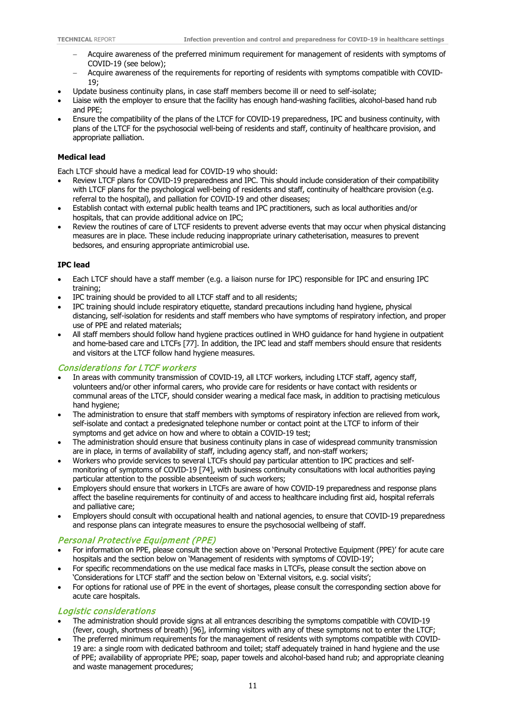- − Acquire awareness of the preferred minimum requirement for management of residents with symptoms of COVID-19 (see below);
- − Acquire awareness of the requirements for reporting of residents with symptoms compatible with COVID-19;
- Update business continuity plans, in case staff members become ill or need to self-isolate;
- Liaise with the employer to ensure that the facility has enough hand-washing facilities, alcohol-based hand rub and PPE;
- Ensure the compatibility of the plans of the LTCF for COVID-19 preparedness, IPC and business continuity, with plans of the LTCF for the psychosocial well-being of residents and staff, continuity of healthcare provision, and appropriate palliation.

#### **Medical lead**

Each LTCF should have a medical lead for COVID-19 who should:

- Review LTCF plans for COVID-19 preparedness and IPC. This should include consideration of their compatibility with LTCF plans for the psychological well-being of residents and staff, continuity of healthcare provision (e.g. referral to the hospital), and palliation for COVID-19 and other diseases;
- Establish contact with external public health teams and IPC practitioners, such as local authorities and/or hospitals, that can provide additional advice on IPC;
- Review the routines of care of LTCF residents to prevent adverse events that may occur when physical distancing measures are in place. These include reducing inappropriate urinary catheterisation, measures to prevent bedsores, and ensuring appropriate antimicrobial use.

#### **IPC lead**

- Each LTCF should have a staff member (e.g. a liaison nurse for IPC) responsible for IPC and ensuring IPC training;
- IPC training should be provided to all LTCF staff and to all residents;
- IPC training should include respiratory etiquette, standard precautions including hand hygiene, physical distancing, self-isolation for residents and staff members who have symptoms of respiratory infection, and proper use of PPE and related materials;
- All staff members should follow hand hygiene practices outlined in WHO guidance for hand hygiene in outpatient and home-based care and LTCFs [77]. In addition, the IPC lead and staff members should ensure that residents and visitors at the LTCF follow hand hygiene measures.

#### Considerations for LTCF workers

- In areas with community transmission of COVID-19, all LTCF workers, including LTCF staff, agency staff, volunteers and/or other informal carers, who provide care for residents or have contact with residents or communal areas of the LTCF, should consider wearing a medical face mask, in addition to practising meticulous hand hygiene:
- The administration to ensure that staff members with symptoms of respiratory infection are relieved from work, self-isolate and contact a predesignated telephone number or contact point at the LTCF to inform of their symptoms and get advice on how and where to obtain a COVID-19 test;
- The administration should ensure that business continuity plans in case of widespread community transmission are in place, in terms of availability of staff, including agency staff, and non-staff workers;
- Workers who provide services to several LTCFs should pay particular attention to IPC practices and selfmonitoring of symptoms of COVID-19 [74], with business continuity consultations with local authorities paying particular attention to the possible absenteeism of such workers;
- Employers should ensure that workers in LTCFs are aware of how COVID-19 preparedness and response plans affect the baseline requirements for continuity of and access to healthcare including first aid, hospital referrals and palliative care;
- Employers should consult with occupational health and national agencies, to ensure that COVID-19 preparedness and response plans can integrate measures to ensure the psychosocial wellbeing of staff.

#### Personal Protective Equipment (PPE)

- For information on PPE, please consult the section above on 'Personal Protective Equipment (PPE)' for acute care hospitals and the section below on 'Management of residents with symptoms of COVID-19';
- For specific recommendations on the use medical face masks in LTCFs, please consult the section above on 'Considerations for LTCF staff' and the section below on 'External visitors, e.g. social visits';
- For options for rational use of PPE in the event of shortages, please consult the corresponding section above for acute care hospitals.

#### Logistic considerations

- The administration should provide signs at all entrances describing the symptoms compatible with COVID-19 (fever, cough, shortness of breath) [96], informing visitors with any of these symptoms not to enter the LTCF;
- The preferred minimum requirements for the management of residents with symptoms compatible with COVID-19 are: a single room with dedicated bathroom and toilet; staff adequately trained in hand hygiene and the use of PPE; availability of appropriate PPE; soap, paper towels and alcohol-based hand rub; and appropriate cleaning and waste management procedures;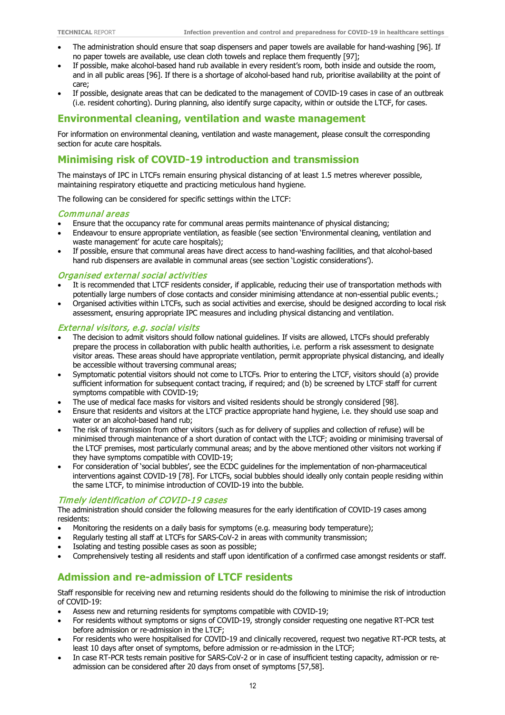- The administration should ensure that soap dispensers and paper towels are available for hand-washing [96]. If no paper towels are available, use clean cloth towels and replace them frequently [97];
- If possible, make alcohol-based hand rub available in every resident's room, both inside and outside the room, and in all public areas [96]. If there is a shortage of alcohol-based hand rub, prioritise availability at the point of care;
- If possible, designate areas that can be dedicated to the management of COVID-19 cases in case of an outbreak (i.e. resident cohorting). During planning, also identify surge capacity, within or outside the LTCF, for cases.

#### **Environmental cleaning, ventilation and waste management**

For information on environmental cleaning, ventilation and waste management, please consult the corresponding section for acute care hospitals.

#### **Minimising risk of COVID-19 introduction and transmission**

The mainstays of IPC in LTCFs remain ensuring physical distancing of at least 1.5 metres wherever possible, maintaining respiratory etiquette and practicing meticulous hand hygiene.

The following can be considered for specific settings within the LTCF:

#### Communal areas

- Ensure that the occupancy rate for communal areas permits maintenance of physical distancing;
- Endeavour to ensure appropriate ventilation, as feasible (see section 'Environmental cleaning, ventilation and waste management' for acute care hospitals);
- If possible, ensure that communal areas have direct access to hand-washing facilities, and that alcohol-based hand rub dispensers are available in communal areas (see section 'Logistic considerations').

#### Organised external social activities

- It is recommended that LTCF residents consider, if applicable, reducing their use of transportation methods with potentially large numbers of close contacts and consider minimising attendance at non-essential public events.;
- Organised activities within LTCFs, such as social activities and exercise, should be designed according to local risk assessment, ensuring appropriate IPC measures and including physical distancing and ventilation.

#### External visitors, e.g. social visits

- The decision to admit visitors should follow national guidelines. If visits are allowed, LTCFs should preferably prepare the process in collaboration with public health authorities, i.e. perform a risk assessment to designate visitor areas. These areas should have appropriate ventilation, permit appropriate physical distancing, and ideally be accessible without traversing communal areas;
- Symptomatic potential visitors should not come to LTCFs. Prior to entering the LTCF, visitors should (a) provide sufficient information for subsequent contact tracing, if required; and (b) be screened by LTCF staff for current symptoms compatible with COVID-19;
- The use of medical face masks for visitors and visited residents should be strongly considered [98].
- Ensure that residents and visitors at the LTCF practice appropriate hand hygiene, i.e. they should use soap and water or an alcohol-based hand rub;
- The risk of transmission from other visitors (such as for delivery of supplies and collection of refuse) will be minimised through maintenance of a short duration of contact with the LTCF; avoiding or minimising traversal of the LTCF premises, most particularly communal areas; and by the above mentioned other visitors not working if they have symptoms compatible with COVID-19;
- For consideration of 'social bubbles', see the ECDC guidelines for the implementation of non-pharmaceutical interventions against COVID-19 [78]. For LTCFs, social bubbles should ideally only contain people residing within the same LTCF, to minimise introduction of COVID-19 into the bubble.

#### Timely identification of COVID-19 cases

The administration should consider the following measures for the early identification of COVID-19 cases among residents:

- Monitoring the residents on a daily basis for symptoms (e.g. measuring body temperature);
- Regularly testing all staff at LTCFs for SARS-CoV-2 in areas with community transmission;
- Isolating and testing possible cases as soon as possible;
- Comprehensively testing all residents and staff upon identification of a confirmed case amongst residents or staff.

#### **Admission and re-admission of LTCF residents**

Staff responsible for receiving new and returning residents should do the following to minimise the risk of introduction of COVID-19:

- Assess new and returning residents for symptoms compatible with COVID-19;
- For residents without symptoms or signs of COVID-19, strongly consider requesting one negative RT-PCR test before admission or re-admission in the LTCF;
- For residents who were hospitalised for COVID-19 and clinically recovered, request two negative RT-PCR tests, at least 10 days after onset of symptoms, before admission or re-admission in the LTCF;
- In case RT-PCR tests remain positive for SARS-CoV-2 or in case of insufficient testing capacity, admission or readmission can be considered after 20 days from onset of symptoms [57,58].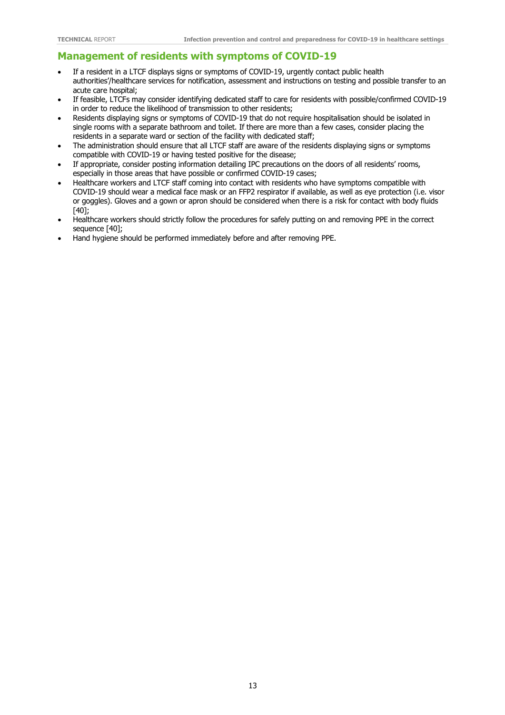#### **Management of residents with symptoms of COVID-19**

- If a resident in a LTCF displays signs or symptoms of COVID-19, urgently contact public health authorities'/healthcare services for notification, assessment and instructions on testing and possible transfer to an acute care hospital;
- If feasible, LTCFs may consider identifying dedicated staff to care for residents with possible/confirmed COVID-19 in order to reduce the likelihood of transmission to other residents;
- Residents displaying signs or symptoms of COVID-19 that do not require hospitalisation should be isolated in single rooms with a separate bathroom and toilet. If there are more than a few cases, consider placing the residents in a separate ward or section of the facility with dedicated staff;
- The administration should ensure that all LTCF staff are aware of the residents displaying signs or symptoms compatible with COVID-19 or having tested positive for the disease;
- If appropriate, consider posting information detailing IPC precautions on the doors of all residents' rooms, especially in those areas that have possible or confirmed COVID-19 cases;
- Healthcare workers and LTCF staff coming into contact with residents who have symptoms compatible with COVID-19 should wear a medical face mask or an FFP2 respirator if available, as well as eye protection (i.e. visor or goggles). Gloves and a gown or apron should be considered when there is a risk for contact with body fluids [40];
- Healthcare workers should strictly follow the procedures for safely putting on and removing PPE in the correct sequence [40];
- Hand hygiene should be performed immediately before and after removing PPE.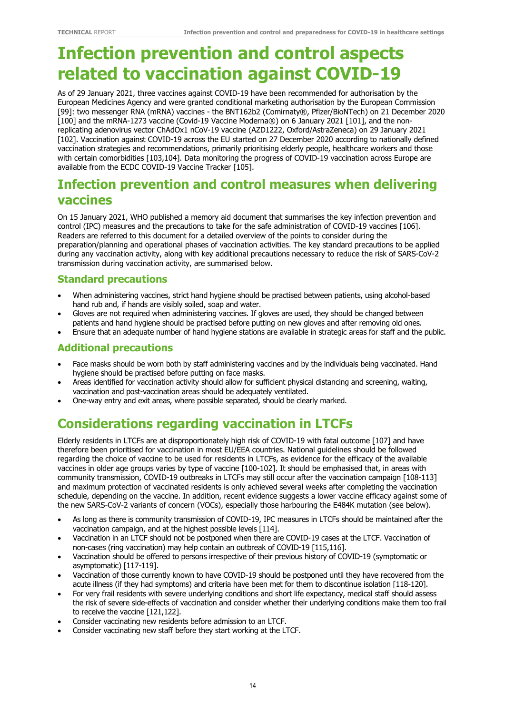# **Infection prevention and control aspects related to vaccination against COVID-19**

As of 29 January 2021, three vaccines against COVID-19 have been recommended for authorisation by the European Medicines Agency and were granted conditional marketing authorisation by the European Commission [99]: two messenger RNA (mRNA) vaccines - the BNT162b2 (Comirnaty®, Pfizer/BioNTech) on 21 December 2020 [100] and the mRNA-1273 vaccine (Covid-19 Vaccine Moderna®) on 6 January 2021 [101], and the nonreplicating adenovirus vector ChAdOx1 nCoV-19 vaccine (AZD1222, Oxford/AstraZeneca) on 29 January 2021 [102]. Vaccination against COVID-19 across the EU started on 27 December 2020 according to nationally defined vaccination strategies and recommendations, primarily prioritising elderly people, healthcare workers and those with certain comorbidities [103,104]. Data monitoring the progress of COVID-19 vaccination across Europe are available from the ECDC COVID-19 Vaccine Tracker [105].

## **Infection prevention and control measures when delivering vaccines**

On 15 January 2021, WHO published a memory aid document that summarises the key infection prevention and control (IPC) measures and the precautions to take for the safe administration of COVID-19 vaccines [106]. Readers are referred to this document for a detailed overview of the points to consider during the preparation/planning and operational phases of vaccination activities. The key standard precautions to be applied during any vaccination activity, along with key additional precautions necessary to reduce the risk of SARS-CoV-2 transmission during vaccination activity, are summarised below.

#### **Standard precautions**

- When administering vaccines, strict hand hygiene should be practised between patients, using alcohol-based hand rub and, if hands are visibly soiled, soap and water.
- Gloves are not required when administering vaccines. If gloves are used, they should be changed between patients and hand hygiene should be practised before putting on new gloves and after removing old ones.
- Ensure that an adequate number of hand hygiene stations are available in strategic areas for staff and the public.

### **Additional precautions**

- Face masks should be worn both by staff administering vaccines and by the individuals being vaccinated. Hand hygiene should be practised before putting on face masks.
- Areas identified for vaccination activity should allow for sufficient physical distancing and screening, waiting, vaccination and post-vaccination areas should be adequately ventilated.
- One-way entry and exit areas, where possible separated, should be clearly marked.

## **Considerations regarding vaccination in LTCFs**

Elderly residents in LTCFs are at disproportionately high risk of COVID-19 with fatal outcome [107] and have therefore been prioritised for vaccination in most EU/EEA countries. National guidelines should be followed regarding the choice of vaccine to be used for residents in LTCFs, as evidence for the efficacy of the available vaccines in older age groups varies by type of vaccine [100-102]. It should be emphasised that, in areas with community transmission, COVID-19 outbreaks in LTCFs may still occur after the vaccination campaign [108-113] and maximum protection of vaccinated residents is only achieved several weeks after completing the vaccination schedule, depending on the vaccine. In addition, recent evidence suggests a lower vaccine efficacy against some of the new SARS-CoV-2 variants of concern (VOCs), especially those harbouring the E484K mutation (see below).

- As long as there is community transmission of COVID-19, IPC measures in LTCFs should be maintained after the vaccination campaign, and at the highest possible levels [114].
- Vaccination in an LTCF should not be postponed when there are COVID-19 cases at the LTCF. Vaccination of non-cases (ring vaccination) may help contain an outbreak of COVID-19 [115,116].
- Vaccination should be offered to persons irrespective of their previous history of COVID-19 (symptomatic or asymptomatic) [117-119].
- Vaccination of those currently known to have COVID-19 should be postponed until they have recovered from the acute illness (if they had symptoms) and criteria have been met for them to discontinue isolation [118-120].
- For very frail residents with severe underlying conditions and short life expectancy, medical staff should assess the risk of severe side-effects of vaccination and consider whether their underlying conditions make them too frail to receive the vaccine [121,122].
- Consider vaccinating new residents before admission to an LTCF.
- Consider vaccinating new staff before they start working at the LTCF.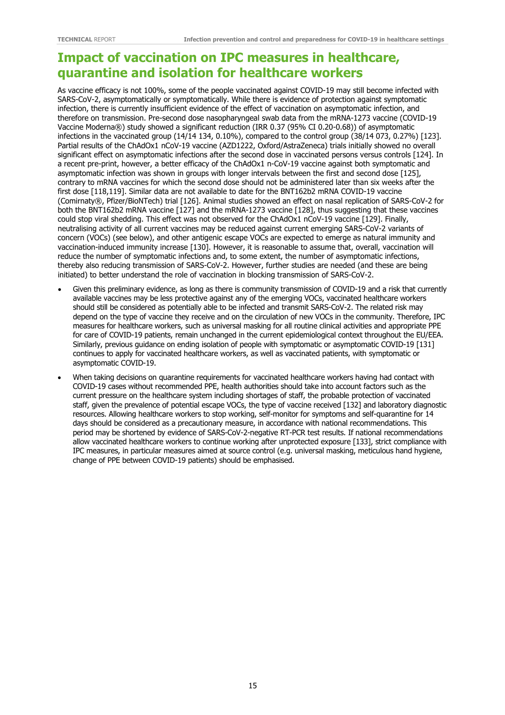### **Impact of vaccination on IPC measures in healthcare, quarantine and isolation for healthcare workers**

As vaccine efficacy is not 100%, some of the people vaccinated against COVID-19 may still become infected with SARS-CoV-2, asymptomatically or symptomatically. While there is evidence of protection against symptomatic infection, there is currently insufficient evidence of the effect of vaccination on asymptomatic infection, and therefore on transmission. Pre-second dose nasopharyngeal swab data from the mRNA-1273 vaccine (COVID-19 Vaccine Moderna®) study showed a significant reduction (IRR 0.37 (95% CI 0.20-0.68)) of asymptomatic infections in the vaccinated group (14/14 134, 0.10%), compared to the control group (38/14 073, 0.27%) [123]. Partial results of the ChAdOx1 nCoV-19 vaccine (AZD1222, Oxford/AstraZeneca) trials initially showed no overall significant effect on asymptomatic infections after the second dose in vaccinated persons versus controls [124]. In a recent pre-print, however, a better efficacy of the ChAdOx1 n-CoV-19 vaccine against both symptomatic and asymptomatic infection was shown in groups with longer intervals between the first and second dose [125], contrary to mRNA vaccines for which the second dose should not be administered later than six weeks after the first dose [118,119]. Similar data are not available to date for the BNT162b2 mRNA COVID-19 vaccine (Comirnaty®, Pfizer/BioNTech) trial [126]. Animal studies showed an effect on nasal replication of SARS-CoV-2 for both the BNT162b2 mRNA vaccine [127] and the mRNA-1273 vaccine [128], thus suggesting that these vaccines could stop viral shedding. This effect was not observed for the ChAdOx1 nCoV-19 vaccine [129]. Finally, neutralising activity of all current vaccines may be reduced against current emerging SARS-CoV-2 variants of concern (VOCs) (see below), and other antigenic escape VOCs are expected to emerge as natural immunity and vaccination-induced immunity increase [130]. However, it is reasonable to assume that, overall, vaccination will reduce the number of symptomatic infections and, to some extent, the number of asymptomatic infections, thereby also reducing transmission of SARS-CoV-2. However, further studies are needed (and these are being initiated) to better understand the role of vaccination in blocking transmission of SARS-CoV-2.

- Given this preliminary evidence, as long as there is community transmission of COVID-19 and a risk that currently available vaccines may be less protective against any of the emerging VOCs, vaccinated healthcare workers should still be considered as potentially able to be infected and transmit SARS-CoV-2. The related risk may depend on the type of vaccine they receive and on the circulation of new VOCs in the community. Therefore, IPC measures for healthcare workers, such as universal masking for all routine clinical activities and appropriate PPE for care of COVID-19 patients, remain unchanged in the current epidemiological context throughout the EU/EEA. Similarly, previous guidance on ending isolation of people with symptomatic or asymptomatic COVID-19 [131] continues to apply for vaccinated healthcare workers, as well as vaccinated patients, with symptomatic or asymptomatic COVID-19.
- When taking decisions on quarantine requirements for vaccinated healthcare workers having had contact with COVID-19 cases without recommended PPE, health authorities should take into account factors such as the current pressure on the healthcare system including shortages of staff, the probable protection of vaccinated staff, given the prevalence of potential escape VOCs, the type of vaccine received [132] and laboratory diagnostic resources. Allowing healthcare workers to stop working, self-monitor for symptoms and self-quarantine for 14 days should be considered as a precautionary measure, in accordance with national recommendations. This period may be shortened by evidence of SARS-CoV-2-negative RT-PCR test results. If national recommendations allow vaccinated healthcare workers to continue working after unprotected exposure [133], strict compliance with IPC measures, in particular measures aimed at source control (e.g. universal masking, meticulous hand hygiene, change of PPE between COVID-19 patients) should be emphasised.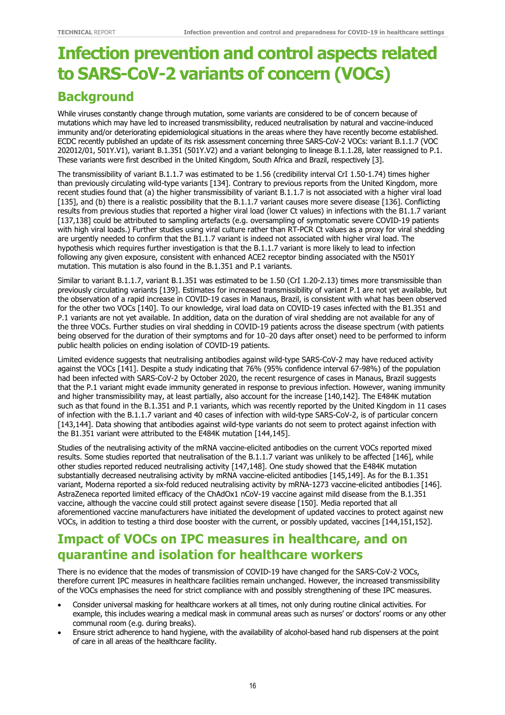# **Infection prevention and control aspects related to SARS-CoV-2 variants of concern (VOCs)**

## **Background**

While viruses constantly change through mutation, some variants are considered to be of concern because of mutations which may have led to increased transmissibility, reduced neutralisation by natural and vaccine-induced immunity and/or deteriorating epidemiological situations in the areas where they have recently become established. ECDC recently published an update of its risk assessment concerning three SARS-CoV-2 VOCs: variant B.1.1.7 (VOC 202012/01, 501Y.V1), variant B.1.351 (501Y.V2) and a variant belonging to lineage B.1.1.28, later reassigned to P.1. These variants were first described in the United Kingdom, South Africa and Brazil, respectively [3].

The transmissibility of variant B.1.1.7 was estimated to be 1.56 (credibility interval CrI 1.50-1.74) times higher than previously circulating wild-type variants [134]. Contrary to previous reports from the United Kingdom, more recent studies found that (a) the higher transmissibility of variant B.1.1.7 is not associated with a higher viral load [135], and (b) there is a realistic possibility that the B.1.1.7 variant causes more severe disease [136]. Conflicting results from previous studies that reported a higher viral load (lower Ct values) in infections with the B1.1.7 variant [137,138] could be attributed to sampling artefacts (e.g. oversampling of symptomatic severe COVID-19 patients with high viral loads.) Further studies using viral culture rather than RT-PCR Ct values as a proxy for viral shedding are urgently needed to confirm that the B1.1.7 variant is indeed not associated with higher viral load. The hypothesis which requires further investigation is that the B.1.1.7 variant is more likely to lead to infection following any given exposure, consistent with enhanced ACE2 receptor binding associated with the N501Y mutation. This mutation is also found in the B.1.351 and P.1 variants.

Similar to variant B.1.1.7, variant B.1.351 was estimated to be 1.50 (CrI 1.20-2.13) times more transmissible than previously circulating variants [139]. Estimates for increased transmissibility of variant P.1 are not yet available, but the observation of a rapid increase in COVID-19 cases in Manaus, Brazil, is consistent with what has been observed for the other two VOCs [140]. To our knowledge, viral load data on COVID-19 cases infected with the B1.351 and P.1 variants are not yet available. In addition, data on the duration of viral shedding are not available for any of the three VOCs. Further studies on viral shedding in COVID-19 patients across the disease spectrum (with patients being observed for the duration of their symptoms and for 10−20 days after onset) need to be performed to inform public health policies on ending isolation of COVID-19 patients.

Limited evidence suggests that neutralising antibodies against wild-type SARS-CoV-2 may have reduced activity against the VOCs [141]. Despite a study indicating that 76% (95% confidence interval 67-98%) of the population had been infected with SARS-CoV-2 by October 2020, the recent resurgence of cases in Manaus, Brazil suggests that the P.1 variant might evade immunity generated in response to previous infection. However, waning immunity and higher transmissibility may, at least partially, also account for the increase [140,142]. The E484K mutation such as that found in the B.1.351 and P.1 variants, which was recently reported by the United Kingdom in 11 cases of infection with the B.1.1.7 variant and 40 cases of infection with wild-type SARS-CoV-2, is of particular concern [143,144]. Data showing that antibodies against wild-type variants do not seem to protect against infection with the B1.351 variant were attributed to the E484K mutation [144,145].

Studies of the neutralising activity of the mRNA vaccine-elicited antibodies on the current VOCs reported mixed results. Some studies reported that neutralisation of the B.1.1.7 variant was unlikely to be affected [146], while other studies reported reduced neutralising activity [147,148]. One study showed that the E484K mutation substantially decreased neutralising activity by mRNA vaccine-elicited antibodies [145,149]. As for the B.1.351 variant, Moderna reported a six-fold reduced neutralising activity by mRNA-1273 vaccine-elicited antibodies [146]. AstraZeneca reported limited efficacy of the ChAdOx1 nCoV-19 vaccine against mild disease from the B.1.351 vaccine, although the vaccine could still protect against severe disease [150]. Media reported that all aforementioned vaccine manufacturers have initiated the development of updated vaccines to protect against new VOCs, in addition to testing a third dose booster with the current, or possibly updated, vaccines [144,151,152].

## **Impact of VOCs on IPC measures in healthcare, and on quarantine and isolation for healthcare workers**

There is no evidence that the modes of transmission of COVID-19 have changed for the SARS-CoV-2 VOCs, therefore current IPC measures in healthcare facilities remain unchanged. However, the increased transmissibility of the VOCs emphasises the need for strict compliance with and possibly strengthening of these IPC measures.

- Consider universal masking for healthcare workers at all times, not only during routine clinical activities. For example, this includes wearing a medical mask in communal areas such as nurses' or doctors' rooms or any other communal room (e.g. during breaks).
- Ensure strict adherence to hand hygiene, with the availability of alcohol-based hand rub dispensers at the point of care in all areas of the healthcare facility.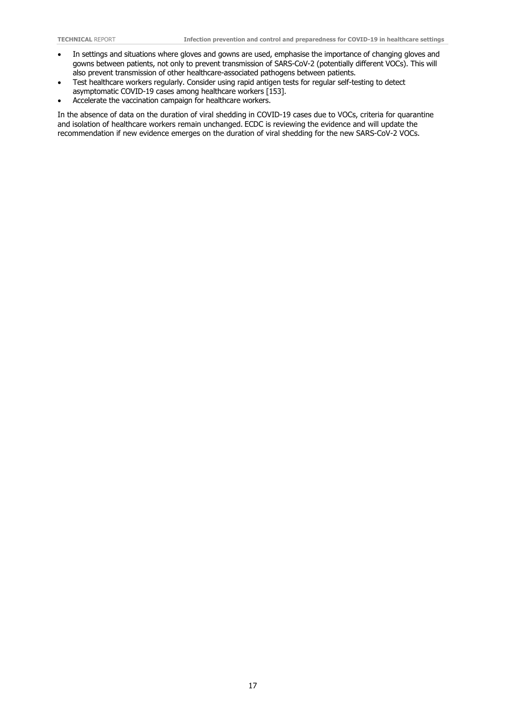- In settings and situations where gloves and gowns are used, emphasise the importance of changing gloves and gowns between patients, not only to prevent transmission of SARS-CoV-2 (potentially different VOCs). This will also prevent transmission of other healthcare-associated pathogens between patients.
- Test healthcare workers regularly. Consider using rapid antigen tests for regular self-testing to detect asymptomatic COVID-19 cases among healthcare workers [153].
- Accelerate the vaccination campaign for healthcare workers.

In the absence of data on the duration of viral shedding in COVID-19 cases due to VOCs, criteria for quarantine and isolation of healthcare workers remain unchanged. ECDC is reviewing the evidence and will update the recommendation if new evidence emerges on the duration of viral shedding for the new SARS-CoV-2 VOCs.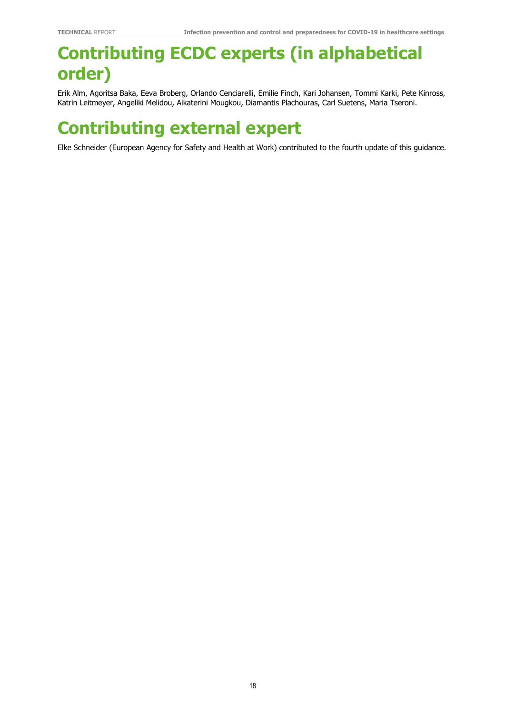# **Contributing ECDC experts (in alphabetical order)**

Erik Alm, Agoritsa Baka, Eeva Broberg, Orlando Cenciarelli, Emilie Finch, Kari Johansen, Tommi Karki, Pete Kinross, Katrin Leitmeyer, Angeliki Melidou, Aikaterini Mougkou, Diamantis Plachouras, Carl Suetens, Maria Tseroni.

# **Contributing external expert**

Elke Schneider (European Agency for Safety and Health at Work) contributed to the fourth update of this guidance.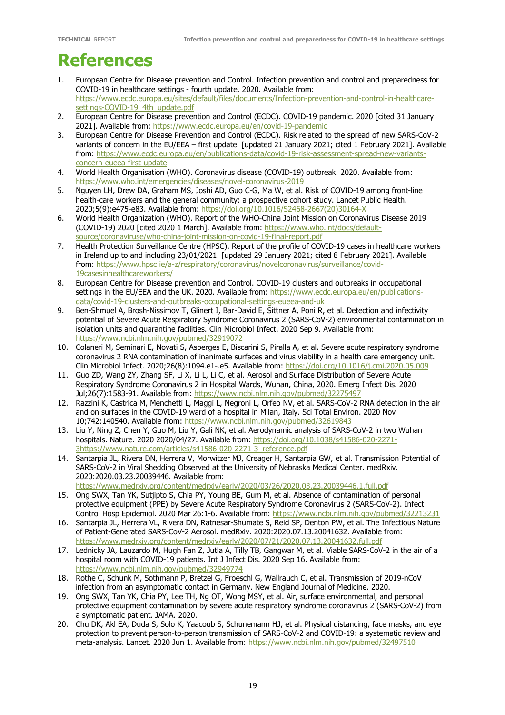## **References**

- 1. European Centre for Disease prevention and Control. Infection prevention and control and preparedness for COVID-19 in healthcare settings - fourth update. 2020. Available from: [https://www.ecdc.europa.eu/sites/default/files/documents/Infection-prevention-and-control-in-healthcare](https://www.ecdc.europa.eu/sites/default/files/documents/Infection-prevention-and-control-in-healthcare-settings-COVID-19_4th_update.pdf)[settings-COVID-19\\_4th\\_update.pdf](https://www.ecdc.europa.eu/sites/default/files/documents/Infection-prevention-and-control-in-healthcare-settings-COVID-19_4th_update.pdf)
- 2. European Centre for Disease prevention and Control (ECDC). COVID-19 pandemic. 2020 [cited 31 January 2021]. Available from:<https://www.ecdc.europa.eu/en/covid-19-pandemic>
- 3. European Centre for Disease Prevention and Control (ECDC). Risk related to the spread of new SARS-CoV-2 variants of concern in the EU/EEA – first update. [updated 21 January 2021; cited 1 February 2021]. Available from: [https://www.ecdc.europa.eu/en/publications-data/covid-19-risk-assessment-spread-new-variants](https://www.ecdc.europa.eu/en/publications-data/covid-19-risk-assessment-spread-new-variants-concern-eueea-first-update)[concern-eueea-first-update](https://www.ecdc.europa.eu/en/publications-data/covid-19-risk-assessment-spread-new-variants-concern-eueea-first-update)
- 4. World Health Organisation (WHO). Coronavirus disease (COVID-19) outbreak. 2020. Available from: <https://www.who.int/emergencies/diseases/novel-coronavirus-2019>
- 5. Nguyen LH, Drew DA, Graham MS, Joshi AD, Guo C-G, Ma W, et al. Risk of COVID-19 among front-line health-care workers and the general community: a prospective cohort study. Lancet Public Health. 2020;5(9):e475-e83. Available from: [https://doi.org/10.1016/S2468-2667\(20\)30164-X](https://doi.org/10.1016/S2468-2667(20)30164-X)
- 6. World Health Organization (WHO). Report of the WHO-China Joint Mission on Coronavirus Disease 2019 (COVID-19) 2020 [cited 2020 1 March]. Available from: [https://www.who.int/docs/default](https://www.who.int/docs/default-source/coronaviruse/who-china-joint-mission-on-covid-19-final-report.pdf)[source/coronaviruse/who-china-joint-mission-on-covid-19-final-report.pdf](https://www.who.int/docs/default-source/coronaviruse/who-china-joint-mission-on-covid-19-final-report.pdf)
- 7. Health Protection Surveillance Centre (HPSC). Report of the profile of COVID-19 cases in healthcare workers in Ireland up to and including 23/01/2021. [updated 29 January 2021; cited 8 February 2021]. Available from: [https://www.hpsc.ie/a-z/respiratory/coronavirus/novelcoronavirus/surveillance/covid-](https://www.hpsc.ie/a-z/respiratory/coronavirus/novelcoronavirus/surveillance/covid-19casesinhealthcareworkers/)[19casesinhealthcareworkers/](https://www.hpsc.ie/a-z/respiratory/coronavirus/novelcoronavirus/surveillance/covid-19casesinhealthcareworkers/)
- 8. European Centre for Disease prevention and Control. COVID-19 clusters and outbreaks in occupational settings in the EU/EEA and the UK. 2020. Available from: [https://www.ecdc.europa.eu/en/publications](https://www.ecdc.europa.eu/en/publications-data/covid-19-clusters-and-outbreaks-occupational-settings-eueea-and-uk)[data/covid-19-clusters-and-outbreaks-occupational-settings-eueea-and-uk](https://www.ecdc.europa.eu/en/publications-data/covid-19-clusters-and-outbreaks-occupational-settings-eueea-and-uk)
- 9. Ben-Shmuel A, Brosh-Nissimov T, Glinert I, Bar-David E, Sittner A, Poni R, et al. Detection and infectivity potential of Severe Acute Respiratory Syndrome Coronavirus 2 (SARS-CoV-2) environmental contamination in isolation units and quarantine facilities. Clin Microbiol Infect. 2020 Sep 9. Available from: <https://www.ncbi.nlm.nih.gov/pubmed/32919072>
- 10. Colaneri M, Seminari E, Novati S, Asperges E, Biscarini S, Piralla A, et al. Severe acute respiratory syndrome coronavirus 2 RNA contamination of inanimate surfaces and virus viability in a health care emergency unit. Clin Microbiol Infect. 2020;26(8):1094.e1-.e5. Available from:<https://doi.org/10.1016/j.cmi.2020.05.009>
- 11. Guo ZD, Wang ZY, Zhang SF, Li X, Li L, Li C, et al. Aerosol and Surface Distribution of Severe Acute Respiratory Syndrome Coronavirus 2 in Hospital Wards, Wuhan, China, 2020. Emerg Infect Dis. 2020 Jul;26(7):1583-91. Available from:<https://www.ncbi.nlm.nih.gov/pubmed/32275497>
- 12. Razzini K, Castrica M, Menchetti L, Maggi L, Negroni L, Orfeo NV, et al. SARS-CoV-2 RNA detection in the air and on surfaces in the COVID-19 ward of a hospital in Milan, Italy. Sci Total Environ. 2020 Nov 10;742:140540. Available from:<https://www.ncbi.nlm.nih.gov/pubmed/32619843>
- 13. Liu Y, Ning Z, Chen Y, Guo M, Liu Y, Gali NK, et al. Aerodynamic analysis of SARS-CoV-2 in two Wuhan hospitals. Nature. 2020 2020/04/27. Available from: [https://doi.org/10.1038/s41586-020-2271-](https://doi.org/10.1038/s41586-020-2271-3) [3](https://doi.org/10.1038/s41586-020-2271-3)[https://www.nature.com/articles/s41586-020-2271-3\\_reference.pdf](https://www.nature.com/articles/s41586-020-2271-3_reference.pdf)
- 14. Santarpia JL, Rivera DN, Herrera V, Morwitzer MJ, Creager H, Santarpia GW, et al. Transmission Potential of SARS-CoV-2 in Viral Shedding Observed at the University of Nebraska Medical Center. medRxiv. 2020:2020.03.23.20039446. Available from: <https://www.medrxiv.org/content/medrxiv/early/2020/03/26/2020.03.23.20039446.1.full.pdf>
- 15. Ong SWX, Tan YK, Sutjipto S, Chia PY, Young BE, Gum M, et al. Absence of contamination of personal protective equipment (PPE) by Severe Acute Respiratory Syndrome Coronavirus 2 (SARS-CoV-2). Infect Control Hosp Epidemiol. 2020 Mar 26:1-6. Available from:<https://www.ncbi.nlm.nih.gov/pubmed/32213231>
- 16. Santarpia JL, Herrera VL, Rivera DN, Ratnesar-Shumate S, Reid SP, Denton PW, et al. The Infectious Nature of Patient-Generated SARS-CoV-2 Aerosol. medRxiv. 2020:2020.07.13.20041632. Available from: <https://www.medrxiv.org/content/medrxiv/early/2020/07/21/2020.07.13.20041632.full.pdf>
- 17. Lednicky JA, Lauzardo M, Hugh Fan Z, Jutla A, Tilly TB, Gangwar M, et al. Viable SARS-CoV-2 in the air of a hospital room with COVID-19 patients. Int J Infect Dis. 2020 Sep 16. Available from: <https://www.ncbi.nlm.nih.gov/pubmed/32949774>
- 18. Rothe C, Schunk M, Sothmann P, Bretzel G, Froeschl G, Wallrauch C, et al. Transmission of 2019-nCoV infection from an asymptomatic contact in Germany. New England Journal of Medicine. 2020.
- 19. Ong SWX, Tan YK, Chia PY, Lee TH, Ng OT, Wong MSY, et al. Air, surface environmental, and personal protective equipment contamination by severe acute respiratory syndrome coronavirus 2 (SARS-CoV-2) from a symptomatic patient. JAMA. 2020.
- 20. Chu DK, Akl EA, Duda S, Solo K, Yaacoub S, Schunemann HJ, et al. Physical distancing, face masks, and eye protection to prevent person-to-person transmission of SARS-CoV-2 and COVID-19: a systematic review and meta-analysis. Lancet. 2020 Jun 1. Available from:<https://www.ncbi.nlm.nih.gov/pubmed/32497510>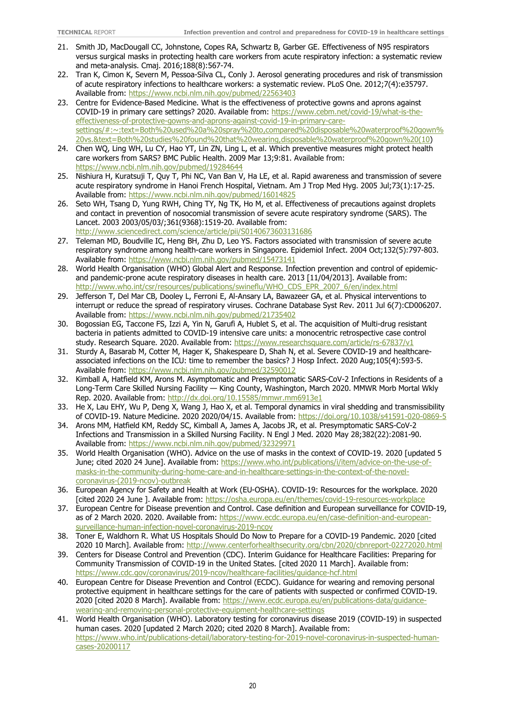- 21. Smith JD, MacDougall CC, Johnstone, Copes RA, Schwartz B, Garber GE. Effectiveness of N95 respirators versus surgical masks in protecting health care workers from acute respiratory infection: a systematic review and meta-analysis. Cmaj. 2016;188(8):567-74.
- 22. Tran K, Cimon K, Severn M, Pessoa-Silva CL, Conly J. Aerosol generating procedures and risk of transmission of acute respiratory infections to healthcare workers: a systematic review. PLoS One. 2012;7(4):e35797. Available from:<https://www.ncbi.nlm.nih.gov/pubmed/22563403>
- 23. Centre for Evidence-Based Medicine. What is the effectiveness of protective gowns and aprons against COVID-19 in primary care settings? 2020. Available from: [https://www.cebm.net/covid-19/what-is-the](https://www.cebm.net/covid-19/what-is-the-effectiveness-of-protective-gowns-and-aprons-against-covid-19-in-primary-care-settings/#:%7E:text=Both%20used%20a%20spray%20to,compared%20disposable%20waterproof%20gown%20vs.&text=Both%20studies%20found%20that%20wearing,disposable%20waterproof%20gown%20(10)[effectiveness-of-protective-gowns-and-aprons-against-covid-19-in-primary-care](https://www.cebm.net/covid-19/what-is-the-effectiveness-of-protective-gowns-and-aprons-against-covid-19-in-primary-care-settings/#:%7E:text=Both%20used%20a%20spray%20to,compared%20disposable%20waterproof%20gown%20vs.&text=Both%20studies%20found%20that%20wearing,disposable%20waterproof%20gown%20(10)[settings/#:~:text=Both%20used%20a%20spray%20to,compared%20disposable%20waterproof%20gown%](https://www.cebm.net/covid-19/what-is-the-effectiveness-of-protective-gowns-and-aprons-against-covid-19-in-primary-care-settings/#:%7E:text=Both%20used%20a%20spray%20to,compared%20disposable%20waterproof%20gown%20vs.&text=Both%20studies%20found%20that%20wearing,disposable%20waterproof%20gown%20(10) [20vs.&text=Both%20studies%20found%20that%20wearing,disposable%20waterproof%20gown%20\(10\)](https://www.cebm.net/covid-19/what-is-the-effectiveness-of-protective-gowns-and-aprons-against-covid-19-in-primary-care-settings/#:%7E:text=Both%20used%20a%20spray%20to,compared%20disposable%20waterproof%20gown%20vs.&text=Both%20studies%20found%20that%20wearing,disposable%20waterproof%20gown%20(10)
- 24. Chen WQ, Ling WH, Lu CY, Hao YT, Lin ZN, Ling L, et al. Which preventive measures might protect health care workers from SARS? BMC Public Health. 2009 Mar 13;9:81. Available from: <https://www.ncbi.nlm.nih.gov/pubmed/19284644>
- 25. Nishiura H, Kuratsuji T, Quy T, Phi NC, Van Ban V, Ha LE, et al. Rapid awareness and transmission of severe acute respiratory syndrome in Hanoi French Hospital, Vietnam. Am J Trop Med Hyg. 2005 Jul;73(1):17-25. Available from:<https://www.ncbi.nlm.nih.gov/pubmed/16014825>
- 26. Seto WH, Tsang D, Yung RWH, Ching TY, Ng TK, Ho M, et al. Effectiveness of precautions against droplets and contact in prevention of nosocomial transmission of severe acute respiratory syndrome (SARS). The Lancet. 2003 2003/05/03/;361(9368):1519-20. Available from: <http://www.sciencedirect.com/science/article/pii/S0140673603131686>
- 27. Teleman MD, Boudville IC, Heng BH, Zhu D, Leo YS. Factors associated with transmission of severe acute respiratory syndrome among health-care workers in Singapore. Epidemiol Infect. 2004 Oct;132(5):797-803. Available from:<https://www.ncbi.nlm.nih.gov/pubmed/15473141>
- 28. World Health Organisation (WHO) Global Alert and Response. Infection prevention and control of epidemicand pandemic-prone acute respiratory diseases in health care. 2013 [11/04/2013]. Available from: [http://www.who.int/csr/resources/publications/swineflu/WHO\\_CDS\\_EPR\\_2007\\_6/en/index.html](http://www.who.int/csr/resources/publications/swineflu/WHO_CDS_EPR_2007_6/en/index.html)
- 29. Jefferson T, Del Mar CB, Dooley L, Ferroni E, Al-Ansary LA, Bawazeer GA, et al. Physical interventions to interrupt or reduce the spread of respiratory viruses. Cochrane Database Syst Rev. 2011 Jul 6(7):CD006207. Available from:<https://www.ncbi.nlm.nih.gov/pubmed/21735402>
- 30. Bogossian EG, Taccone FS, Izzi A, Yin N, Garufi A, Hublet S, et al. The acquisition of Multi-drug resistant bacteria in patients admitted to COVID-19 intensive care units: a monocentric retrospective case control study. Research Square. 2020. Available from:<https://www.researchsquare.com/article/rs-67837/v1>
- 31. Sturdy A, Basarab M, Cotter M, Hager K, Shakespeare D, Shah N, et al. Severe COVID-19 and healthcareassociated infections on the ICU: time to remember the basics? J Hosp Infect. 2020 Aug;105(4):593-5. Available from:<https://www.ncbi.nlm.nih.gov/pubmed/32590012>
- 32. Kimball A, Hatfield KM, Arons M. Asymptomatic and Presymptomatic SARS-CoV-2 Infections in Residents of a Long-Term Care Skilled Nursing Facility — King County, Washington, March 2020. MMWR Morb Mortal Wkly Rep. 2020. Available from:<http://dx.doi.org/10.15585/mmwr.mm6913e1>
- 33. He X, Lau EHY, Wu P, Deng X, Wang J, Hao X, et al. Temporal dynamics in viral shedding and transmissibility of COVID-19. Nature Medicine. 2020 2020/04/15. Available from[: https://doi.org/10.1038/s41591-020-0869-5](https://doi.org/10.1038/s41591-020-0869-5)
- 34. Arons MM, Hatfield KM, Reddy SC, Kimball A, James A, Jacobs JR, et al. Presymptomatic SARS-CoV-2 Infections and Transmission in a Skilled Nursing Facility. N Engl J Med. 2020 May 28;382(22):2081-90. Available from:<https://www.ncbi.nlm.nih.gov/pubmed/32329971>
- 35. World Health Organisation (WHO). Advice on the use of masks in the context of COVID-19. 2020 [updated 5 June; cited 2020 24 June]. Available from: [https://www.who.int/publications/i/item/advice-on-the-use-of](https://www.who.int/publications/i/item/advice-on-the-use-of-masks-in-the-community-during-home-care-and-in-healthcare-settings-in-the-context-of-the-novel-coronavirus-(2019-ncov)-outbreak)[masks-in-the-community-during-home-care-and-in-healthcare-settings-in-the-context-of-the-novel](https://www.who.int/publications/i/item/advice-on-the-use-of-masks-in-the-community-during-home-care-and-in-healthcare-settings-in-the-context-of-the-novel-coronavirus-(2019-ncov)-outbreak)[coronavirus-\(2019-ncov\)-outbreak](https://www.who.int/publications/i/item/advice-on-the-use-of-masks-in-the-community-during-home-care-and-in-healthcare-settings-in-the-context-of-the-novel-coronavirus-(2019-ncov)-outbreak)
- 36. European Agency for Safety and Health at Work (EU-OSHA). COVID-19: Resources for the workplace. 2020 [cited 2020 24 June ]. Available from:<https://osha.europa.eu/en/themes/covid-19-resources-workplace>
- 37. European Centre for Disease prevention and Control. Case definition and European surveillance for COVID-19, as of 2 March 2020. 2020. Available from: [https://www.ecdc.europa.eu/en/case-definition-and-european](https://www.ecdc.europa.eu/en/case-definition-and-european-surveillance-human-infection-novel-coronavirus-2019-ncov)[surveillance-human-infection-novel-coronavirus-2019-ncov](https://www.ecdc.europa.eu/en/case-definition-and-european-surveillance-human-infection-novel-coronavirus-2019-ncov)
- 38. Toner E, Waldhorn R. What US Hospitals Should Do Now to Prepare for a COVID-19 Pandemic. 2020 [cited 2020 10 March]. Available from:<http://www.centerforhealthsecurity.org/cbn/2020/cbnreport-02272020.html>
- 39. Centers for Disease Control and Prevention (CDC). Interim Guidance for Healthcare Facilities: Preparing for Community Transmission of COVID-19 in the United States. [cited 2020 11 March]. Available from: <https://www.cdc.gov/coronavirus/2019-ncov/healthcare-facilities/guidance-hcf.html>
- 40. European Centre for Disease Prevention and Control (ECDC). Guidance for wearing and removing personal protective equipment in healthcare settings for the care of patients with suspected or confirmed COVID-19. 2020 [cited 2020 8 March]. Available from: [https://www.ecdc.europa.eu/en/publications-data/guidance](https://www.ecdc.europa.eu/en/publications-data/guidance-wearing-and-removing-personal-protective-equipment-healthcare-settings)[wearing-and-removing-personal-protective-equipment-healthcare-settings](https://www.ecdc.europa.eu/en/publications-data/guidance-wearing-and-removing-personal-protective-equipment-healthcare-settings)
- 41. World Health Organisation (WHO). Laboratory testing for coronavirus disease 2019 (COVID-19) in suspected human cases. 2020 [updated 2 March 2020; cited 2020 8 March]. Available from: [https://www.who.int/publications-detail/laboratory-testing-for-2019-novel-coronavirus-in-suspected-human](https://www.who.int/publications-detail/laboratory-testing-for-2019-novel-coronavirus-in-suspected-human-cases-20200117)[cases-20200117](https://www.who.int/publications-detail/laboratory-testing-for-2019-novel-coronavirus-in-suspected-human-cases-20200117)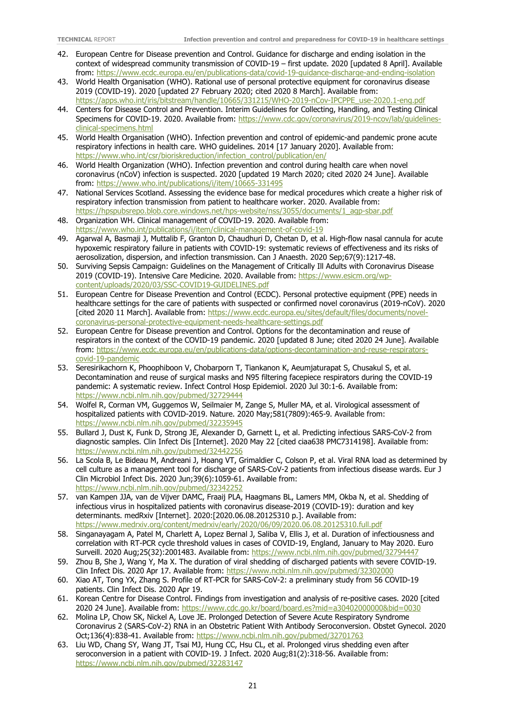- 42. European Centre for Disease prevention and Control. Guidance for discharge and ending isolation in the context of widespread community transmission of COVID-19 – first update. 2020 [updated 8 April]. Available from:<https://www.ecdc.europa.eu/en/publications-data/covid-19-guidance-discharge-and-ending-isolation>
- 43. World Health Organisation (WHO). Rational use of personal protective equipment for coronavirus disease 2019 (COVID-19). 2020 [updated 27 February 2020; cited 2020 8 March]. Available from: [https://apps.who.int/iris/bitstream/handle/10665/331215/WHO-2019-nCov-IPCPPE\\_use-2020.1-eng.pdf](https://apps.who.int/iris/bitstream/handle/10665/331215/WHO-2019-nCov-IPCPPE_use-2020.1-eng.pdf)
- 44. Centers for Disease Control and Prevention. Interim Guidelines for Collecting, Handling, and Testing Clinical Specimens for COVID-19. 2020. Available from: https://www.cdc.gov/coronavirus/2019-ncov/lab/quidelines[clinical-specimens.html](https://www.cdc.gov/coronavirus/2019-ncov/lab/guidelines-clinical-specimens.html)
- 45. World Health Organisation (WHO). Infection prevention and control of epidemic-and pandemic prone acute respiratory infections in health care. WHO guidelines. 2014 [17 January 2020]. Available from: [https://www.who.int/csr/bioriskreduction/infection\\_control/publication/en/](https://www.who.int/csr/bioriskreduction/infection_control/publication/en/)
- 46. World Health Organization (WHO). Infection prevention and control during health care when novel coronavirus (nCoV) infection is suspected. 2020 [updated 19 March 2020; cited 2020 24 June]. Available from:<https://www.who.int/publications/i/item/10665-331495>
- 47. National Services Scotland. Assessing the evidence base for medical procedures which create a higher risk of respiratory infection transmission from patient to healthcare worker. 2020. Available from: [https://hpspubsrepo.blob.core.windows.net/hps-website/nss/3055/documents/1\\_agp-sbar.pdf](https://hpspubsrepo.blob.core.windows.net/hps-website/nss/3055/documents/1_agp-sbar.pdf)
- 48. Organization WH. Clinical management of COVID-19. 2020. Available from: <https://www.who.int/publications/i/item/clinical-management-of-covid-19>
- 49. Agarwal A, Basmaji J, Muttalib F, Granton D, Chaudhuri D, Chetan D, et al. High-flow nasal cannula for acute hypoxemic respiratory failure in patients with COVID-19: systematic reviews of effectiveness and its risks of aerosolization, dispersion, and infection transmission. Can J Anaesth. 2020 Sep;67(9):1217-48.
- 50. Surviving Sepsis Campaign: Guidelines on the Management of Critically Ill Adults with Coronavirus Disease 2019 (COVID-19). Intensive Care Medicine. 2020. Available from: [https://www.esicm.org/wp](https://www.esicm.org/wp-content/uploads/2020/03/SSC-COVID19-GUIDELINES.pdf)[content/uploads/2020/03/SSC-COVID19-GUIDELINES.pdf](https://www.esicm.org/wp-content/uploads/2020/03/SSC-COVID19-GUIDELINES.pdf)
- 51. European Centre for Disease Prevention and Control (ECDC). Personal protective equipment (PPE) needs in healthcare settings for the care of patients with suspected or confirmed novel coronavirus (2019-nCoV). 2020 [cited 2020 11 March]. Available from: [https://www.ecdc.europa.eu/sites/default/files/documents/novel](https://www.ecdc.europa.eu/sites/default/files/documents/novel-coronavirus-personal-protective-equipment-needs-healthcare-settings.pdf)[coronavirus-personal-protective-equipment-needs-healthcare-settings.pdf](https://www.ecdc.europa.eu/sites/default/files/documents/novel-coronavirus-personal-protective-equipment-needs-healthcare-settings.pdf)
- 52. European Centre for Disease prevention and Control. Options for the decontamination and reuse of respirators in the context of the COVID-19 pandemic. 2020 [updated 8 June; cited 2020 24 June]. Available from: [https://www.ecdc.europa.eu/en/publications-data/options-decontamination-and-reuse-respirators](https://www.ecdc.europa.eu/en/publications-data/options-decontamination-and-reuse-respirators-covid-19-pandemic)[covid-19-pandemic](https://www.ecdc.europa.eu/en/publications-data/options-decontamination-and-reuse-respirators-covid-19-pandemic)
- 53. Seresirikachorn K, Phoophiboon V, Chobarporn T, Tiankanon K, Aeumjaturapat S, Chusakul S, et al. Decontamination and reuse of surgical masks and N95 filtering facepiece respirators during the COVID-19 pandemic: A systematic review. Infect Control Hosp Epidemiol. 2020 Jul 30:1-6. Available from: <https://www.ncbi.nlm.nih.gov/pubmed/32729444>
- 54. Wolfel R, Corman VM, Guggemos W, Seilmaier M, Zange S, Muller MA, et al. Virological assessment of hospitalized patients with COVID-2019. Nature. 2020 May;581(7809):465-9. Available from: <https://www.ncbi.nlm.nih.gov/pubmed/32235945>
- 55. Bullard J, Dust K, Funk D, Strong JE, Alexander D, Garnett L, et al. Predicting infectious SARS-CoV-2 from diagnostic samples. Clin Infect Dis [Internet]. 2020 May 22 [cited ciaa638 PMC7314198]. Available from: <https://www.ncbi.nlm.nih.gov/pubmed/32442256>
- 56. La Scola B, Le Bideau M, Andreani J, Hoang VT, Grimaldier C, Colson P, et al. Viral RNA load as determined by cell culture as a management tool for discharge of SARS-CoV-2 patients from infectious disease wards. Eur J Clin Microbiol Infect Dis. 2020 Jun;39(6):1059-61. Available from: <https://www.ncbi.nlm.nih.gov/pubmed/32342252>
- 57. van Kampen JJA, van de Vijver DAMC, Fraaij PLA, Haagmans BL, Lamers MM, Okba N, et al. Shedding of infectious virus in hospitalized patients with coronavirus disease-2019 (COVID-19): duration and key determinants. medRxiv [Internet]. 2020:[2020.06.08.20125310 p.]. Available from: <https://www.medrxiv.org/content/medrxiv/early/2020/06/09/2020.06.08.20125310.full.pdf>
- 58. Singanayagam A, Patel M, Charlett A, Lopez Bernal J, Saliba V, Ellis J, et al. Duration of infectiousness and correlation with RT-PCR cycle threshold values in cases of COVID-19, England, January to May 2020. Euro Surveill. 2020 Aug;25(32):2001483. Available from:<https://www.ncbi.nlm.nih.gov/pubmed/32794447>
- 59. Zhou B, She J, Wang Y, Ma X. The duration of viral shedding of discharged patients with severe COVID-19. Clin Infect Dis. 2020 Apr 17. Available from:<https://www.ncbi.nlm.nih.gov/pubmed/32302000>
- 60. Xiao AT, Tong YX, Zhang S. Profile of RT-PCR for SARS-CoV-2: a preliminary study from 56 COVID-19 patients. Clin Infect Dis. 2020 Apr 19.
- 61. Korean Centre for Disease Control. Findings from investigation and analysis of re-positive cases. 2020 [cited 2020 24 June]. Available from:<https://www.cdc.go.kr/board/board.es?mid=a30402000000&bid=0030>
- 62. Molina LP, Chow SK, Nickel A, Love JE. Prolonged Detection of Severe Acute Respiratory Syndrome Coronavirus 2 (SARS-CoV-2) RNA in an Obstetric Patient With Antibody Seroconversion. Obstet Gynecol. 2020 Oct;136(4):838-41. Available from[: https://www.ncbi.nlm.nih.gov/pubmed/32701763](https://www.ncbi.nlm.nih.gov/pubmed/32701763)
- 63. Liu WD, Chang SY, Wang JT, Tsai MJ, Hung CC, Hsu CL, et al. Prolonged virus shedding even after seroconversion in a patient with COVID-19. J Infect. 2020 Aug;81(2):318-56. Available from: <https://www.ncbi.nlm.nih.gov/pubmed/32283147>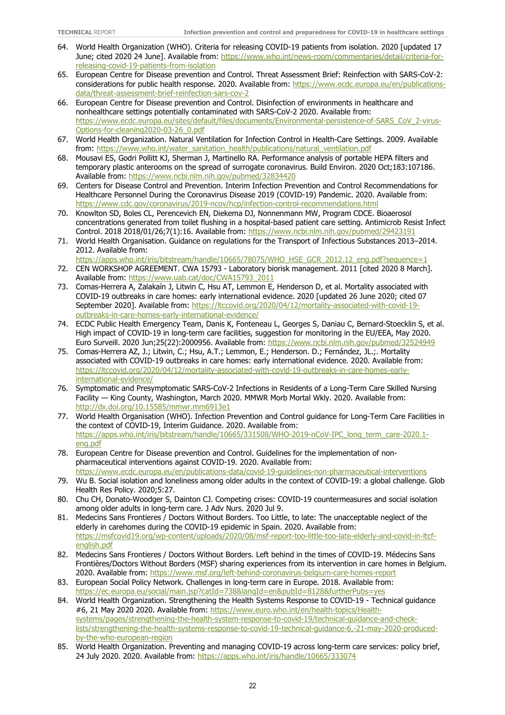- 64. World Health Organization (WHO). Criteria for releasing COVID-19 patients from isolation. 2020 [updated 17 June; cited 2020 24 June]. Available from: [https://www.who.int/news-room/commentaries/detail/criteria-for](https://www.who.int/news-room/commentaries/detail/criteria-for-releasing-covid-19-patients-from-isolation)[releasing-covid-19-patients-from-isolation](https://www.who.int/news-room/commentaries/detail/criteria-for-releasing-covid-19-patients-from-isolation)
- 65. European Centre for Disease prevention and Control. Threat Assessment Brief: Reinfection with SARS-CoV-2: considerations for public health response. 2020. Available from: [https://www.ecdc.europa.eu/en/publications](https://www.ecdc.europa.eu/en/publications-data/threat-assessment-brief-reinfection-sars-cov-2)[data/threat-assessment-brief-reinfection-sars-cov-2](https://www.ecdc.europa.eu/en/publications-data/threat-assessment-brief-reinfection-sars-cov-2)
- 66. European Centre for Disease prevention and Control. Disinfection of environments in healthcare and nonhealthcare settings potentially contaminated with SARS-CoV-2 2020. Available from: [https://www.ecdc.europa.eu/sites/default/files/documents/Environmental-persistence-of-SARS\\_CoV\\_2-virus-](https://www.ecdc.europa.eu/sites/default/files/documents/Environmental-persistence-of-SARS_CoV_2-virus-Options-for-cleaning2020-03-26_0.pdf)[Options-for-cleaning2020-03-26\\_0.pdf](https://www.ecdc.europa.eu/sites/default/files/documents/Environmental-persistence-of-SARS_CoV_2-virus-Options-for-cleaning2020-03-26_0.pdf)
- 67. World Health Organization. Natural Ventilation for Infection Control in Health-Care Settings. 2009. Available from: [https://www.who.int/water\\_sanitation\\_health/publications/natural\\_ventilation.pdf](https://www.who.int/water_sanitation_health/publications/natural_ventilation.pdf)
- 68. Mousavi ES, Godri Pollitt KJ, Sherman J, Martinello RA. Performance analysis of portable HEPA filters and temporary plastic anterooms on the spread of surrogate coronavirus. Build Environ. 2020 Oct;183:107186. Available from:<https://www.ncbi.nlm.nih.gov/pubmed/32834420>
- 69. Centers for Disease Control and Prevention. Interim Infection Prevention and Control Recommendations for Healthcare Personnel During the Coronavirus Disease 2019 (COVID-19) Pandemic. 2020. Available from: <https://www.cdc.gov/coronavirus/2019-ncov/hcp/infection-control-recommendations.html>
- 70. Knowlton SD, Boles CL, Perencevich EN, Diekema DJ, Nonnenmann MW, Program CDCE. Bioaerosol concentrations generated from toilet flushing in a hospital-based patient care setting. Antimicrob Resist Infect Control. 2018 2018/01/26;7(1):16. Available from:<https://www.ncbi.nlm.nih.gov/pubmed/29423191>
- 71. World Health Organisation. Guidance on regulations for the Transport of Infectious Substances 2013–2014. 2012. Available from:
- [https://apps.who.int/iris/bitstream/handle/10665/78075/WHO\\_HSE\\_GCR\\_2012.12\\_eng.pdf?sequence=1](https://apps.who.int/iris/bitstream/handle/10665/78075/WHO_HSE_GCR_2012.12_eng.pdf?sequence=1) 72. CEN WORKSHOP AGREEMENT. CWA 15793 - Laboratory biorisk management. 2011 [cited 2020 8 March]. Available from: [https://www.uab.cat/doc/CWA15793\\_2011](https://www.uab.cat/doc/CWA15793_2011)
- 73. Comas-Herrera A, Zalakaín J, Litwin C, Hsu AT, Lemmon E, Henderson D, et al. Mortality associated with COVID-19 outbreaks in care homes: early international evidence. 2020 [updated 26 June 2020; cited 07 September 2020]. Available from: [https://ltccovid.org/2020/04/12/mortality-associated-with-covid-19](https://ltccovid.org/2020/04/12/mortality-associated-with-covid-19-outbreaks-in-care-homes-early-international-evidence/) [outbreaks-in-care-homes-early-international-evidence/](https://ltccovid.org/2020/04/12/mortality-associated-with-covid-19-outbreaks-in-care-homes-early-international-evidence/)
- 74. ECDC Public Health Emergency Team, Danis K, Fonteneau L, Georges S, Daniau C, Bernard-Stoecklin S, et al. High impact of COVID-19 in long-term care facilities, suggestion for monitoring in the EU/EEA, May 2020. Euro Surveill. 2020 Jun;25(22):2000956. Available from:<https://www.ncbi.nlm.nih.gov/pubmed/32524949>
- 75. Comas-Herrera AZ, J.; Litwin, C.; Hsu, A.T.; Lemmon, E.; Henderson. D.; Fernández, JL.;. Mortality associated with COVID-19 outbreaks in care homes: early international evidence. 2020. Available from: [https://ltccovid.org/2020/04/12/mortality-associated-with-covid-19-outbreaks-in-care-homes-early](https://ltccovid.org/2020/04/12/mortality-associated-with-covid-19-outbreaks-in-care-homes-early-international-evidence/)[international-evidence/](https://ltccovid.org/2020/04/12/mortality-associated-with-covid-19-outbreaks-in-care-homes-early-international-evidence/)
- 76. Symptomatic and Presymptomatic SARS-CoV-2 Infections in Residents of a Long-Term Care Skilled Nursing Facility — King County, Washington, March 2020. MMWR Morb Mortal Wkly. 2020. Available from: <http://dx.doi.org/10.15585/mmwr.mm6913e1>
- 77. World Health Organisation (WHO). Infection Prevention and Control guidance for Long-Term Care Facilities in the context of COVID-19, Interim Guidance. 2020. Available from: [https://apps.who.int/iris/bitstream/handle/10665/331508/WHO-2019-nCoV-IPC\\_long\\_term\\_care-2020.1](https://apps.who.int/iris/bitstream/handle/10665/331508/WHO-2019-nCoV-IPC_long_term_care-2020.1-eng.pdf) [eng.pdf](https://apps.who.int/iris/bitstream/handle/10665/331508/WHO-2019-nCoV-IPC_long_term_care-2020.1-eng.pdf)
- 78. European Centre for Disease prevention and Control. Guidelines for the implementation of nonpharmaceutical interventions against COVID-19. 2020. Available from:
- <https://www.ecdc.europa.eu/en/publications-data/covid-19-guidelines-non-pharmaceutical-interventions> 79. Wu B. Social isolation and loneliness among older adults in the context of COVID-19: a global challenge. Glob
- Health Res Policy. 2020;5:27.
- 80. Chu CH, Donato-Woodger S, Dainton CJ. Competing crises: COVID-19 countermeasures and social isolation among older adults in long-term care. J Adv Nurs. 2020 Jul 9.
- 81. Medecins Sans Frontieres / Doctors Without Borders. Too Little, to late: The unacceptable neglect of the elderly in carehomes during the COVID-19 epidemic in Spain. 2020. Available from: [https://msfcovid19.org/wp-content/uploads/2020/08/msf-report-too-little-too-late-elderly-and-covid-in-ltcf](https://msfcovid19.org/wp-content/uploads/2020/08/msf-report-too-little-too-late-elderly-and-covid-in-ltcf-english.pdf)[english.pdf](https://msfcovid19.org/wp-content/uploads/2020/08/msf-report-too-little-too-late-elderly-and-covid-in-ltcf-english.pdf)
- 82. Medecins Sans Frontieres / Doctors Without Borders. Left behind in the times of COVID-19. Médecins Sans Frontières/Doctors Without Borders (MSF) sharing experiences from its intervention in care homes in Belgium. 2020. Available from:<https://www.msf.org/left-behind-coronavirus-belgium-care-homes-report>
- 83. European Social Policy Network. Challenges in long-term care in Europe. 2018. Available from: <https://ec.europa.eu/social/main.jsp?catId=738&langId=en&pubId=8128&furtherPubs=yes>
- 84. World Health Organization. Strengthening the Health Systems Response to COVID-19 Technical guidance #6, 21 May 2020 2020. Available from: [https://www.euro.who.int/en/health-topics/Health](https://www.euro.who.int/en/health-topics/Health-systems/pages/strengthening-the-health-system-response-to-covid-19/technical-guidance-and-check-lists/strengthening-the-health-systems-response-to-covid-19-technical-guidance-6,-21-may-2020-produced-by-the-who-european-region)[systems/pages/strengthening-the-health-system-response-to-covid-19/technical-guidance-and-check](https://www.euro.who.int/en/health-topics/Health-systems/pages/strengthening-the-health-system-response-to-covid-19/technical-guidance-and-check-lists/strengthening-the-health-systems-response-to-covid-19-technical-guidance-6,-21-may-2020-produced-by-the-who-european-region)[lists/strengthening-the-health-systems-response-to-covid-19-technical-guidance-6,-21-may-2020-produced](https://www.euro.who.int/en/health-topics/Health-systems/pages/strengthening-the-health-system-response-to-covid-19/technical-guidance-and-check-lists/strengthening-the-health-systems-response-to-covid-19-technical-guidance-6,-21-may-2020-produced-by-the-who-european-region)[by-the-who-european-region](https://www.euro.who.int/en/health-topics/Health-systems/pages/strengthening-the-health-system-response-to-covid-19/technical-guidance-and-check-lists/strengthening-the-health-systems-response-to-covid-19-technical-guidance-6,-21-may-2020-produced-by-the-who-european-region)
- 85. World Health Organization. Preventing and managing COVID-19 across long-term care services: policy brief, 24 July 2020. 2020. Available from:<https://apps.who.int/iris/handle/10665/333074>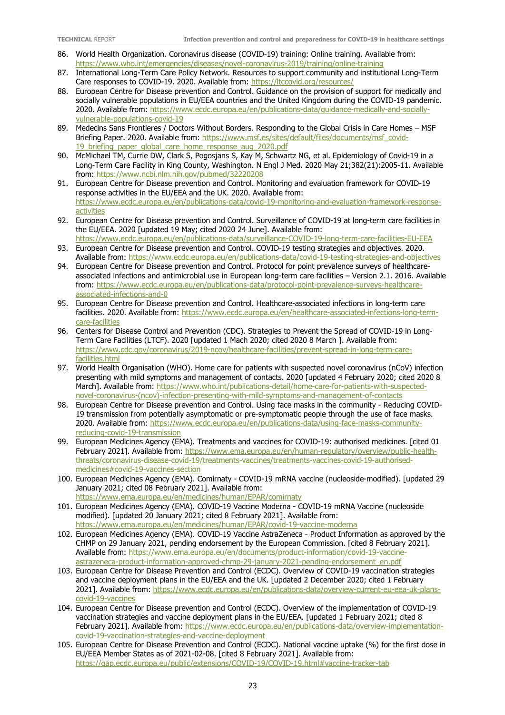- 86. World Health Organization. Coronavirus disease (COVID-19) training: Online training. Available from: <https://www.who.int/emergencies/diseases/novel-coronavirus-2019/training/online-training>
- 87. International Long-Term Care Policy Network. Resources to support community and institutional Long-Term Care responses to COVID-19. 2020. Available from:<https://ltccovid.org/resources/>
- 88. European Centre for Disease prevention and Control. Guidance on the provision of support for medically and socially vulnerable populations in EU/EEA countries and the United Kingdom during the COVID-19 pandemic. 2020. Available from: [https://www.ecdc.europa.eu/en/publications-data/guidance-medically-and-socially](https://www.ecdc.europa.eu/en/publications-data/guidance-medically-and-socially-vulnerable-populations-covid-19)[vulnerable-populations-covid-19](https://www.ecdc.europa.eu/en/publications-data/guidance-medically-and-socially-vulnerable-populations-covid-19)
- 89. Medecins Sans Frontieres / Doctors Without Borders. Responding to the Global Crisis in Care Homes MSF Briefing Paper. 2020. Available from: [https://www.msf.es/sites/default/files/documents/msf\\_covid-](https://www.msf.es/sites/default/files/documents/msf_covid-19_briefing_paper_global_care_home_response_aug_2020.pdf)19 briefing paper global care home response aug 2020.pdf
- 90. McMichael TM, Currie DW, Clark S, Pogosjans S, Kay M, Schwartz NG, et al. Epidemiology of Covid-19 in a Long-Term Care Facility in King County, Washington. N Engl J Med. 2020 May 21;382(21):2005-11. Available from:<https://www.ncbi.nlm.nih.gov/pubmed/32220208>
- 91. European Centre for Disease prevention and Control. Monitoring and evaluation framework for COVID-19 response activities in the EU/EEA and the UK. 2020. Available from: [https://www.ecdc.europa.eu/en/publications-data/covid-19-monitoring-and-evaluation-framework-response](https://www.ecdc.europa.eu/en/publications-data/covid-19-monitoring-and-evaluation-framework-response-activities)[activities](https://www.ecdc.europa.eu/en/publications-data/covid-19-monitoring-and-evaluation-framework-response-activities)
- 92. European Centre for Disease prevention and Control. Surveillance of COVID-19 at long-term care facilities in the EU/EEA. 2020 [updated 19 May; cited 2020 24 June]. Available from: <https://www.ecdc.europa.eu/en/publications-data/surveillance-COVID-19-long-term-care-facilities-EU-EEA>
- 93. European Centre for Disease prevention and Control. COVID-19 testing strategies and objectives. 2020. Available from:<https://www.ecdc.europa.eu/en/publications-data/covid-19-testing-strategies-and-objectives>
- 94. European Centre for Disease prevention and Control. Protocol for point prevalence surveys of healthcareassociated infections and antimicrobial use in European long-term care facilities – Version 2.1. 2016. Available from: [https://www.ecdc.europa.eu/en/publications-data/protocol-point-prevalence-surveys-healthcare](https://www.ecdc.europa.eu/en/publications-data/protocol-point-prevalence-surveys-healthcare-associated-infections-and-0)[associated-infections-and-0](https://www.ecdc.europa.eu/en/publications-data/protocol-point-prevalence-surveys-healthcare-associated-infections-and-0)
- 95. European Centre for Disease prevention and Control. Healthcare-associated infections in long-term care facilities. 2020. Available from: [https://www.ecdc.europa.eu/en/healthcare-associated-infections-long-term](https://www.ecdc.europa.eu/en/healthcare-associated-infections-long-term-care-facilities)[care-facilities](https://www.ecdc.europa.eu/en/healthcare-associated-infections-long-term-care-facilities)
- 96. Centers for Disease Control and Prevention (CDC). Strategies to Prevent the Spread of COVID-19 in Long-Term Care Facilities (LTCF). 2020 [updated 1 Mach 2020; cited 2020 8 March ]. Available from: [https://www.cdc.gov/coronavirus/2019-ncov/healthcare-facilities/prevent-spread-in-long-term-care](https://www.cdc.gov/coronavirus/2019-ncov/healthcare-facilities/prevent-spread-in-long-term-care-facilities.html)[facilities.html](https://www.cdc.gov/coronavirus/2019-ncov/healthcare-facilities/prevent-spread-in-long-term-care-facilities.html)
- 97. World Health Organisation (WHO). Home care for patients with suspected novel coronavirus (nCoV) infection presenting with mild symptoms and management of contacts. 2020 [updated 4 February 2020; cited 2020 8 March]. Available from: [https://www.who.int/publications-detail/home-care-for-patients-with-suspected](https://www.who.int/publications-detail/home-care-for-patients-with-suspected-novel-coronavirus-(ncov)-infection-presenting-with-mild-symptoms-and-management-of-contacts)[novel-coronavirus-\(ncov\)-infection-presenting-with-mild-symptoms-and-management-of-contacts](https://www.who.int/publications-detail/home-care-for-patients-with-suspected-novel-coronavirus-(ncov)-infection-presenting-with-mild-symptoms-and-management-of-contacts)
- 98. European Centre for Disease prevention and Control. Using face masks in the community Reducing COVID-19 transmission from potentially asymptomatic or pre-symptomatic people through the use of face masks. 2020. Available from: [https://www.ecdc.europa.eu/en/publications-data/using-face-masks-community](https://www.ecdc.europa.eu/en/publications-data/using-face-masks-community-reducing-covid-19-transmission)[reducing-covid-19-transmission](https://www.ecdc.europa.eu/en/publications-data/using-face-masks-community-reducing-covid-19-transmission)
- 99. European Medicines Agency (EMA). Treatments and vaccines for COVID-19: authorised medicines. [cited 01 February 2021]. Available from: [https://www.ema.europa.eu/en/human-regulatory/overview/public-health](https://www.ema.europa.eu/en/human-regulatory/overview/public-health-threats/coronavirus-disease-covid-19/treatments-vaccines/treatments-vaccines-covid-19-authorised-medicines#covid-19-vaccines-section)[threats/coronavirus-disease-covid-19/treatments-vaccines/treatments-vaccines-covid-19-authorised](https://www.ema.europa.eu/en/human-regulatory/overview/public-health-threats/coronavirus-disease-covid-19/treatments-vaccines/treatments-vaccines-covid-19-authorised-medicines#covid-19-vaccines-section)[medicines#covid-19-vaccines-section](https://www.ema.europa.eu/en/human-regulatory/overview/public-health-threats/coronavirus-disease-covid-19/treatments-vaccines/treatments-vaccines-covid-19-authorised-medicines#covid-19-vaccines-section)
- 100. European Medicines Agency (EMA). Comirnaty COVID-19 mRNA vaccine (nucleoside-modified). [updated 29 January 2021; cited 08 February 2021]. Available from: <https://www.ema.europa.eu/en/medicines/human/EPAR/comirnaty>
- 101. European Medicines Agency (EMA). COVID-19 Vaccine Moderna COVID-19 mRNA Vaccine (nucleoside modified). [updated 20 January 2021; cited 8 February 2021]. Available from: <https://www.ema.europa.eu/en/medicines/human/EPAR/covid-19-vaccine-moderna>
- 102. European Medicines Agency (EMA). COVID-19 Vaccine AstraZeneca Product Information as approved by the CHMP on 29 January 2021, pending endorsement by the European Commission. [cited 8 February 2021]. Available from: [https://www.ema.europa.eu/en/documents/product-information/covid-19-vaccine](https://www.ema.europa.eu/en/documents/product-information/covid-19-vaccine-astrazeneca-product-information-approved-chmp-29-january-2021-pending-endorsement_en.pdf)[astrazeneca-product-information-approved-chmp-29-january-2021-pending-endorsement\\_en.pdf](https://www.ema.europa.eu/en/documents/product-information/covid-19-vaccine-astrazeneca-product-information-approved-chmp-29-january-2021-pending-endorsement_en.pdf)
- 103. European Centre for Disease Prevention and Control (ECDC). Overview of COVID-19 vaccination strategies and vaccine deployment plans in the EU/EEA and the UK. [updated 2 December 2020; cited 1 February 2021]. Available from: [https://www.ecdc.europa.eu/en/publications-data/overview-current-eu-eea-uk-plans](https://www.ecdc.europa.eu/en/publications-data/overview-current-eu-eea-uk-plans-covid-19-vaccines)[covid-19-vaccines](https://www.ecdc.europa.eu/en/publications-data/overview-current-eu-eea-uk-plans-covid-19-vaccines)
- 104. European Centre for Disease prevention and Control (ECDC). Overview of the implementation of COVID-19 vaccination strategies and vaccine deployment plans in the EU/EEA. [updated 1 February 2021; cited 8 February 2021]. Available from: [https://www.ecdc.europa.eu/en/publications-data/overview-implementation](https://www.ecdc.europa.eu/en/publications-data/overview-implementation-covid-19-vaccination-strategies-and-vaccine-deployment)[covid-19-vaccination-strategies-and-vaccine-deployment](https://www.ecdc.europa.eu/en/publications-data/overview-implementation-covid-19-vaccination-strategies-and-vaccine-deployment)
- 105. European Centre for Disease Prevention and Control (ECDC). National vaccine uptake (%) for the first dose in EU/EEA Member States as of 2021-02-08. [cited 8 February 2021]. Available from: <https://qap.ecdc.europa.eu/public/extensions/COVID-19/COVID-19.html#vaccine-tracker-tab>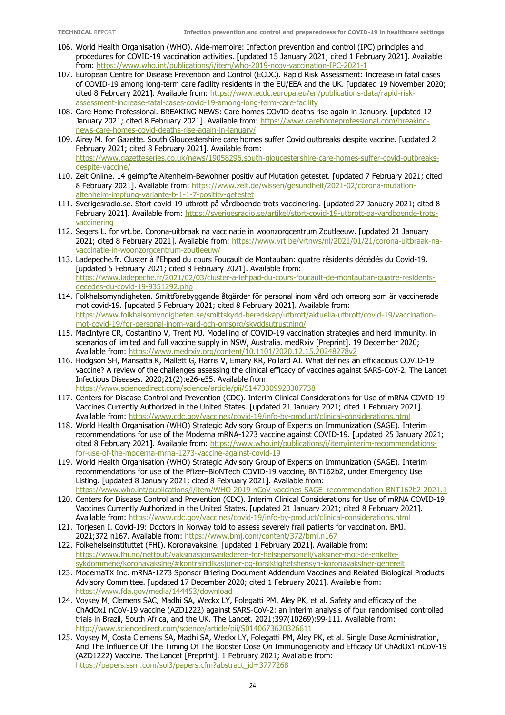- 106. World Health Organisation (WHO). Aide-memoire: Infection prevention and control (IPC) principles and procedures for COVID-19 vaccination activities. [updated 15 January 2021; cited 1 February 2021]. Available from:<https://www.who.int/publications/i/item/who-2019-ncov-vaccination-IPC-2021-1>
- 107. European Centre for Disease Prevention and Control (ECDC). Rapid Risk Assessment: Increase in fatal cases of COVID-19 among long-term care facility residents in the EU/EEA and the UK. [updated 19 November 2020; cited 8 February 2021]. Available from: [https://www.ecdc.europa.eu/en/publications-data/rapid-risk](https://www.ecdc.europa.eu/en/publications-data/rapid-risk-assessment-increase-fatal-cases-covid-19-among-long-term-care-facility)[assessment-increase-fatal-cases-covid-19-among-long-term-care-facility](https://www.ecdc.europa.eu/en/publications-data/rapid-risk-assessment-increase-fatal-cases-covid-19-among-long-term-care-facility)
- 108. Care Home Professional. BREAKING NEWS: Care homes COVID deaths rise again in January. [updated 12 January 2021; cited 8 February 2021]. Available from: [https://www.carehomeprofessional.com/breaking](https://www.carehomeprofessional.com/breaking-news-care-homes-covid-deaths-rise-again-in-january/)[news-care-homes-covid-deaths-rise-again-in-january/](https://www.carehomeprofessional.com/breaking-news-care-homes-covid-deaths-rise-again-in-january/)
- 109. Airey M. for Gazette. South Gloucestershire care homes suffer Covid outbreaks despite vaccine. [updated 2 February 2021; cited 8 February 2021]. Available from: [https://www.gazetteseries.co.uk/news/19058296.south-gloucestershire-care-homes-suffer-covid-outbreaks](https://www.gazetteseries.co.uk/news/19058296.south-gloucestershire-care-homes-suffer-covid-outbreaks-despite-vaccine/)[despite-vaccine/](https://www.gazetteseries.co.uk/news/19058296.south-gloucestershire-care-homes-suffer-covid-outbreaks-despite-vaccine/)
- 110. Zeit Online. 14 geimpfte Altenheim-Bewohner positiv auf Mutation getestet. [updated 7 February 2021; cited 8 February 2021]. Available from: [https://www.zeit.de/wissen/gesundheit/2021-02/corona-mutation](https://www.zeit.de/wissen/gesundheit/2021-02/corona-mutation-altenheim-impfung-variante-b-1-1-7-posititv-getestet)[altenheim-impfung-variante-b-1-1-7-posititv-getestet](https://www.zeit.de/wissen/gesundheit/2021-02/corona-mutation-altenheim-impfung-variante-b-1-1-7-posititv-getestet)
- 111. Sverigesradio.se. Stort covid-19-utbrott på vårdboende trots vaccinering. [updated 27 January 2021; cited 8 February 2021]. Available from: [https://sverigesradio.se/artikel/stort-covid-19-utbrott-pa-vardboende-trots](https://sverigesradio.se/artikel/stort-covid-19-utbrott-pa-vardboende-trots-vaccinering)[vaccinering](https://sverigesradio.se/artikel/stort-covid-19-utbrott-pa-vardboende-trots-vaccinering)
- 112. Segers L. for vrt.be. Corona-uitbraak na vaccinatie in woonzorgcentrum Zoutleeuw. [updated 21 January 2021; cited 8 February 2021]. Available from: [https://www.vrt.be/vrtnws/nl/2021/01/21/corona-uitbraak-na](https://www.vrt.be/vrtnws/nl/2021/01/21/corona-uitbraak-na-vaccinatie-in-woonzorgcentrum-zoutleeuw/)[vaccinatie-in-woonzorgcentrum-zoutleeuw/](https://www.vrt.be/vrtnws/nl/2021/01/21/corona-uitbraak-na-vaccinatie-in-woonzorgcentrum-zoutleeuw/)
- 113. Ladepeche.fr. Cluster à l'Ehpad du cours Foucault de Montauban: quatre résidents décédés du Covid-19. [updated 5 February 2021; cited 8 February 2021]. Available from: [https://www.ladepeche.fr/2021/02/03/cluster-a-lehpad-du-cours-foucault-de-montauban-quatre-residents](https://www.ladepeche.fr/2021/02/03/cluster-a-lehpad-du-cours-foucault-de-montauban-quatre-residents-decedes-du-covid-19-9351292.php)[decedes-du-covid-19-9351292.php](https://www.ladepeche.fr/2021/02/03/cluster-a-lehpad-du-cours-foucault-de-montauban-quatre-residents-decedes-du-covid-19-9351292.php)
- 114. Folkhalsomyndigheten. Smittförebyggande åtgärder för personal inom vård och omsorg som är vaccinerade mot covid-19. [updated 5 February 2021; cited 8 February 2021]. Available from: [https://www.folkhalsomyndigheten.se/smittskydd-beredskap/utbrott/aktuella-utbrott/covid-19/vaccination](https://www.folkhalsomyndigheten.se/smittskydd-beredskap/utbrott/aktuella-utbrott/covid-19/vaccination-mot-covid-19/for-personal-inom-vard-och-omsorg/skyddsutrustning/)[mot-covid-19/for-personal-inom-vard-och-omsorg/skyddsutrustning/](https://www.folkhalsomyndigheten.se/smittskydd-beredskap/utbrott/aktuella-utbrott/covid-19/vaccination-mot-covid-19/for-personal-inom-vard-och-omsorg/skyddsutrustning/)
- 115. MacIntyre CR, Costantino V, Trent MJ. Modelling of COVID-19 vaccination strategies and herd immunity, in scenarios of limited and full vaccine supply in NSW, Australia. medRxiv [Preprint]. 19 December 2020; Available from:<https://www.medrxiv.org/content/10.1101/2020.12.15.20248278v2>
- 116. Hodgson SH, Mansatta K, Mallett G, Harris V, Emary KR, Pollard AJ. What defines an efficacious COVID-19 vaccine? A review of the challenges assessing the clinical efficacy of vaccines against SARS-CoV-2. The Lancet Infectious Diseases. 2020;21(2):e26-e35. Available from: <https://www.sciencedirect.com/science/article/pii/S1473309920307738>
- 117. Centers for Disease Control and Prevention (CDC). Interim Clinical Considerations for Use of mRNA COVID-19 Vaccines Currently Authorized in the United States. [updated 21 January 2021; cited 1 February 2021]. Available from:<https://www.cdc.gov/vaccines/covid-19/info-by-product/clinical-considerations.html>
- 118. World Health Organisation (WHO) Strategic Advisory Group of Experts on Immunization (SAGE). Interim recommendations for use of the Moderna mRNA-1273 vaccine against COVID-19. [updated 25 January 2021; cited 8 February 2021]. Available from: [https://www.who.int/publications/i/item/interim-recommendations](https://www.who.int/publications/i/item/interim-recommendations-for-use-of-the-moderna-mrna-1273-vaccine-against-covid-19)[for-use-of-the-moderna-mrna-1273-vaccine-against-covid-19](https://www.who.int/publications/i/item/interim-recommendations-for-use-of-the-moderna-mrna-1273-vaccine-against-covid-19)
- 119. World Health Organisation (WHO) Strategic Advisory Group of Experts on Immunization (SAGE). Interim recommendations for use of the Pfizer–BioNTech COVID-19 vaccine, BNT162b2, under Emergency Use Listing. [updated 8 January 2021; cited 8 February 2021]. Available from: [https://www.who.int/publications/i/item/WHO-2019-nCoV-vaccines-SAGE\\_recommendation-BNT162b2-2021.1](https://www.who.int/publications/i/item/WHO-2019-nCoV-vaccines-SAGE_recommendation-BNT162b2-2021.1)
- 120. Centers for Disease Control and Prevention (CDC). Interim Clinical Considerations for Use of mRNA COVID-19 Vaccines Currently Authorized in the United States. [updated 21 January 2021; cited 8 February 2021]. Available from:<https://www.cdc.gov/vaccines/covid-19/info-by-product/clinical-considerations.html>
- 121. Torjesen I. Covid-19: Doctors in Norway told to assess severely frail patients for vaccination. BMJ. 2021;372:n167. Available from:<https://www.bmj.com/content/372/bmj.n167>
- 122. Folkehelseinstituttet (FHI). Koronavaksine. [updated 1 February 2021]. Available from: [https://www.fhi.no/nettpub/vaksinasjonsveilederen-for-helsepersonell/vaksiner-mot-de-enkelte](https://www.fhi.no/nettpub/vaksinasjonsveilederen-for-helsepersonell/vaksiner-mot-de-enkelte-sykdommene/koronavaksine/#kontraindikasjoner-og-forsiktighetshensyn-koronavaksiner-generelt)[sykdommene/koronavaksine/#kontraindikasjoner-og-forsiktighetshensyn-koronavaksiner-generelt](https://www.fhi.no/nettpub/vaksinasjonsveilederen-for-helsepersonell/vaksiner-mot-de-enkelte-sykdommene/koronavaksine/#kontraindikasjoner-og-forsiktighetshensyn-koronavaksiner-generelt)
- 123. ModernaTX Inc. mRNA-1273 Sponsor Briefing Document Addendum Vaccines and Related Biological Products Advisory Committee. [updated 17 December 2020; cited 1 February 2021]. Available from: <https://www.fda.gov/media/144453/download>
- 124. Voysey M, Clemens SAC, Madhi SA, Weckx LY, Folegatti PM, Aley PK, et al. Safety and efficacy of the ChAdOx1 nCoV-19 vaccine (AZD1222) against SARS-CoV-2: an interim analysis of four randomised controlled trials in Brazil, South Africa, and the UK. The Lancet. 2021;397(10269):99-111. Available from: <http://www.sciencedirect.com/science/article/pii/S0140673620326611>
- 125. Voysey M, Costa Clemens SA, Madhi SA, Weckx LY, Folegatti PM, Aley PK, et al. Single Dose Administration, And The Influence Of The Timing Of The Booster Dose On Immunogenicity and Efficacy Of ChAdOx1 nCoV-19 (AZD1222) Vaccine. The Lancet [Preprint]. 1 February 2021; Available from: [https://papers.ssrn.com/sol3/papers.cfm?abstract\\_id=3777268](https://papers.ssrn.com/sol3/papers.cfm?abstract_id=3777268)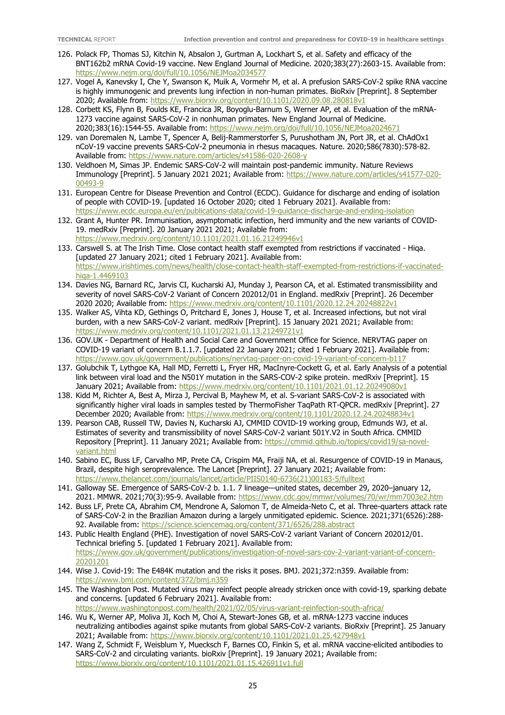- 126. Polack FP, Thomas SJ, Kitchin N, Absalon J, Gurtman A, Lockhart S, et al. Safety and efficacy of the BNT162b2 mRNA Covid-19 vaccine. New England Journal of Medicine. 2020;383(27):2603-15. Available from: <https://www.nejm.org/doi/full/10.1056/NEJMoa2034577>
- 127. Vogel A, Kanevsky I, Che Y, Swanson K, Muik A, Vormehr M, et al. A prefusion SARS-CoV-2 spike RNA vaccine is highly immunogenic and prevents lung infection in non-human primates. BioRxiv [Preprint]. 8 September 2020; Available from:<https://www.biorxiv.org/content/10.1101/2020.09.08.280818v1>
- 128. Corbett KS, Flynn B, Foulds KE, Francica JR, Boyoglu-Barnum S, Werner AP, et al. Evaluation of the mRNA-1273 vaccine against SARS-CoV-2 in nonhuman primates. New England Journal of Medicine. 2020;383(16):1544-55. Available from:<https://www.nejm.org/doi/full/10.1056/NEJMoa2024671>
- 129. van Doremalen N, Lambe T, Spencer A, Belij-Rammerstorfer S, Purushotham JN, Port JR, et al. ChAdOx1 nCoV-19 vaccine prevents SARS-CoV-2 pneumonia in rhesus macaques. Nature. 2020;586(7830):578-82. Available from:<https://www.nature.com/articles/s41586-020-2608-y>
- 130. Veldhoen M, Simas JP. Endemic SARS-CoV-2 will maintain post-pandemic immunity. Nature Reviews Immunology [Preprint]. 5 January 2021 2021; Available from: [https://www.nature.com/articles/s41577-020-](https://www.nature.com/articles/s41577-020-00493-9) [00493-9](https://www.nature.com/articles/s41577-020-00493-9)
- 131. European Centre for Disease Prevention and Control (ECDC). Guidance for discharge and ending of isolation of people with COVID-19. [updated 16 October 2020; cited 1 February 2021]. Available from: <https://www.ecdc.europa.eu/en/publications-data/covid-19-guidance-discharge-and-ending-isolation>
- 132. Grant A, Hunter PR. Immunisation, asymptomatic infection, herd immunity and the new variants of COVID-19. medRxiv [Preprint]. 20 January 2021 2021; Available from: <https://www.medrxiv.org/content/10.1101/2021.01.16.21249946v1>
- 133. Carswell S. at The Irish Time. Close contact health staff exempted from restrictions if vaccinated Hiqa. [updated 27 January 2021; cited 1 February 2021]. Available from: [https://www.irishtimes.com/news/health/close-contact-health-staff-exempted-from-restrictions-if-vaccinated](https://www.irishtimes.com/news/health/close-contact-health-staff-exempted-from-restrictions-if-vaccinated-hiqa-1.4469103)[hiqa-1.4469103](https://www.irishtimes.com/news/health/close-contact-health-staff-exempted-from-restrictions-if-vaccinated-hiqa-1.4469103)
- 134. Davies NG, Barnard RC, Jarvis CI, Kucharski AJ, Munday J, Pearson CA, et al. Estimated transmissibility and severity of novel SARS-CoV-2 Variant of Concern 202012/01 in England. medRxiv [Preprint]. 26 December 2020 2020; Available from:<https://www.medrxiv.org/content/10.1101/2020.12.24.20248822v1>
- 135. Walker AS, Vihta KD, Gethings O, Pritchard E, Jones J, House T, et al. Increased infections, but not viral burden, with a new SARS-CoV-2 variant. medRxiv [Preprint]. 15 January 2021 2021; Available from: <https://www.medrxiv.org/content/10.1101/2021.01.13.21249721v1>
- 136. GOV.UK Department of Health and Social Care and Government Office for Science. NERVTAG paper on COVID-19 variant of concern B.1.1.7. [updated 22 January 2021; cited 1 February 2021]. Available from: <https://www.gov.uk/government/publications/nervtag-paper-on-covid-19-variant-of-concern-b117>
- 137. Golubchik T, Lythgoe KA, Hall MD, Ferretti L, Fryer HR, MacInyre-Cockett G, et al. Early Analysis of a potential link between viral load and the N501Y mutation in the SARS-COV-2 spike protein. medRxiv [Preprint]. 15 January 2021; Available from:<https://www.medrxiv.org/content/10.1101/2021.01.12.20249080v1>
- 138. Kidd M, Richter A, Best A, Mirza J, Percival B, Mayhew M, et al. S-variant SARS-CoV-2 is associated with significantly higher viral loads in samples tested by ThermoFisher TaqPath RT-QPCR. medRxiv [Preprint]. 27 December 2020; Available from:<https://www.medrxiv.org/content/10.1101/2020.12.24.20248834v1>
- 139. Pearson CAB, Russell TW, Davies N, Kucharski AJ, CMMID COVID-19 working group, Edmunds WJ, et al. Estimates of severity and transmissibility of novel SARS-CoV-2 variant 501Y.V2 in South Africa. CMMID Repository [Preprint]. 11 January 2021; Available from: [https://cmmid.github.io/topics/covid19/sa-novel](https://cmmid.github.io/topics/covid19/sa-novel-variant.html)[variant.html](https://cmmid.github.io/topics/covid19/sa-novel-variant.html)
- 140. Sabino EC, Buss LF, Carvalho MP, Prete CA, Crispim MA, Fraiji NA, et al. Resurgence of COVID-19 in Manaus, Brazil, despite high seroprevalence. The Lancet [Preprint]. 27 January 2021; Available from: [https://www.thelancet.com/journals/lancet/article/PIIS0140-6736\(21\)00183-5/fulltext](https://www.thelancet.com/journals/lancet/article/PIIS0140-6736(21)00183-5/fulltext)
- 141. Galloway SE. Emergence of SARS-CoV-2 b. 1.1. 7 lineage—united states, december 29, 2020–january 12, 2021. MMWR. 2021;70(3):95-9. Available from:<https://www.cdc.gov/mmwr/volumes/70/wr/mm7003e2.htm>
- 142. Buss LF, Prete CA, Abrahim CM, Mendrone A, Salomon T, de Almeida-Neto C, et al. Three-quarters attack rate of SARS-CoV-2 in the Brazilian Amazon during a largely unmitigated epidemic. Science. 2021;371(6526):288 92. Available from:<https://science.sciencemag.org/content/371/6526/288.abstract>
- 143. Public Health England (PHE). Investigation of novel SARS-CoV-2 variant Variant of Concern 202012/01. Technical briefing 5. [updated 1 February 2021]. Available from: [https://www.gov.uk/government/publications/investigation-of-novel-sars-cov-2-variant-variant-of-concern-](https://www.gov.uk/government/publications/investigation-of-novel-sars-cov-2-variant-variant-of-concern-20201201)[20201201](https://www.gov.uk/government/publications/investigation-of-novel-sars-cov-2-variant-variant-of-concern-20201201)
- 144. Wise J. Covid-19: The E484K mutation and the risks it poses. BMJ. 2021;372:n359. Available from: <https://www.bmj.com/content/372/bmj.n359>
- 145. The Washington Post. Mutated virus may reinfect people already stricken once with covid-19, sparking debate and concerns. [updated 6 February 2021]. Available from: <https://www.washingtonpost.com/health/2021/02/05/virus-variant-reinfection-south-africa/>
- 146. Wu K, Werner AP, Moliva JI, Koch M, Choi A, Stewart-Jones GB, et al. mRNA-1273 vaccine induces neutralizing antibodies against spike mutants from global SARS-CoV-2 variants. BioRxiv [Preprint]. 25 January 2021; Available from:<https://www.biorxiv.org/content/10.1101/2021.01.25.427948v1>
- 147. Wang Z, Schmidt F, Weisblum Y, Muecksch F, Barnes CO, Finkin S, et al. mRNA vaccine-elicited antibodies to SARS-CoV-2 and circulating variants. bioRxiv [Preprint]. 19 January 2021; Available from: <https://www.biorxiv.org/content/10.1101/2021.01.15.426911v1.full>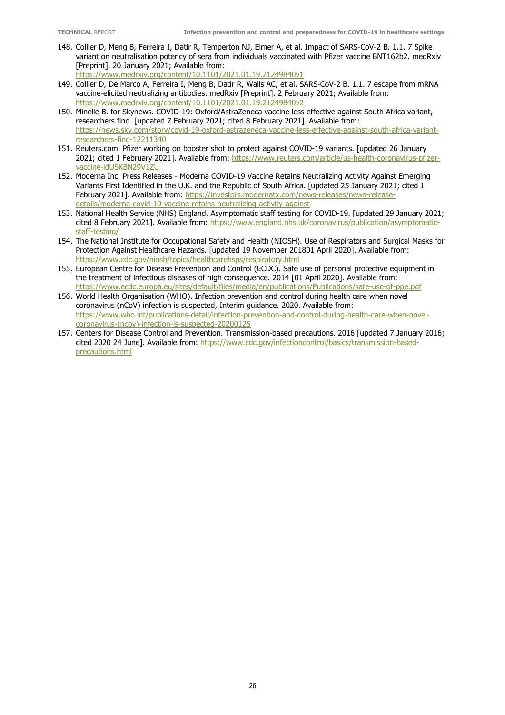- 148. Collier D, Meng B, Ferreira I, Datir R, Temperton NJ, Elmer A, et al. Impact of SARS-CoV-2 B. 1.1. 7 Spike variant on neutralisation potency of sera from individuals vaccinated with Pfizer vaccine BNT162b2. medRxiv [Preprint]. 20 January 2021; Available from: <https://www.medrxiv.org/content/10.1101/2021.01.19.21249840v1>
- 149. Collier D, De Marco A, Ferreira I, Meng B, Datir R, Walls AC, et al. SARS-CoV-2 B. 1.1. 7 escape from mRNA vaccine-elicited neutralizing antibodies. medRxiv [Preprint]. 2 February 2021; Available from: <https://www.medrxiv.org/content/10.1101/2021.01.19.21249840v2>
- 150. Minelle B. for Skynews. COVID-19: Oxford/AstraZeneca vaccine less effective against South Africa variant, researchers find. [updated 7 February 2021; cited 8 February 2021]. Available from: [https://news.sky.com/story/covid-19-oxford-astrazeneca-vaccine-less-effective-against-south-africa-variant](https://news.sky.com/story/covid-19-oxford-astrazeneca-vaccine-less-effective-against-south-africa-variant-researchers-find-12211340)[researchers-find-12211340](https://news.sky.com/story/covid-19-oxford-astrazeneca-vaccine-less-effective-against-south-africa-variant-researchers-find-12211340)
- 151. Reuters.com. Pfizer working on booster shot to protect against COVID-19 variants. [updated 26 January 2021; cited 1 February 2021]. Available from: [https://www.reuters.com/article/us-health-coronavirus-pfizer](https://www.reuters.com/article/us-health-coronavirus-pfizer-vaccine-idUSKBN29V1ZU)[vaccine-idUSKBN29V1ZU](https://www.reuters.com/article/us-health-coronavirus-pfizer-vaccine-idUSKBN29V1ZU)
- 152. Moderna Inc. Press Releases Moderna COVID-19 Vaccine Retains Neutralizing Activity Against Emerging Variants First Identified in the U.K. and the Republic of South Africa. [updated 25 January 2021; cited 1 February 2021]. Available from: [https://investors.modernatx.com/news-releases/news-release](https://investors.modernatx.com/news-releases/news-release-details/moderna-covid-19-vaccine-retains-neutralizing-activity-against)[details/moderna-covid-19-vaccine-retains-neutralizing-activity-against](https://investors.modernatx.com/news-releases/news-release-details/moderna-covid-19-vaccine-retains-neutralizing-activity-against)
- 153. National Health Service (NHS) England. Asymptomatic staff testing for COVID-19. [updated 29 January 2021; cited 8 February 2021]. Available from: [https://www.england.nhs.uk/coronavirus/publication/asymptomatic](https://www.england.nhs.uk/coronavirus/publication/asymptomatic-staff-testing/)[staff-testing/](https://www.england.nhs.uk/coronavirus/publication/asymptomatic-staff-testing/)
- 154. The National Institute for Occupational Safety and Health (NIOSH). Use of Respirators and Surgical Masks for Protection Against Healthcare Hazards. [updated 19 November 201801 April 2020]. Available from: <https://www.cdc.gov/niosh/topics/healthcarehsps/respiratory.html>
- 155. European Centre for Disease Prevention and Control (ECDC). Safe use of personal protective equipment in the treatment of infectious diseases of high consequence. 2014 [01 April 2020]. Available from: <https://www.ecdc.europa.eu/sites/default/files/media/en/publications/Publications/safe-use-of-ppe.pdf>
- 156. World Health Organisation (WHO). Infection prevention and control during health care when novel coronavirus (nCoV) infection is suspected, Interim guidance. 2020. Available from: [https://www.who.int/publications-detail/infection-prevention-and-control-during-health-care-when-novel](https://www.who.int/publications-detail/infection-prevention-and-control-during-health-care-when-novel-coronavirus-(ncov)-infection-is-suspected-20200125)[coronavirus-\(ncov\)-infection-is-suspected-20200125](https://www.who.int/publications-detail/infection-prevention-and-control-during-health-care-when-novel-coronavirus-(ncov)-infection-is-suspected-20200125)
- 157. Centers for Disease Control and Prevention. Transmission-based precautions. 2016 [updated 7 January 2016; cited 2020 24 June]. Available from: [https://www.cdc.gov/infectioncontrol/basics/transmission-based](https://www.cdc.gov/infectioncontrol/basics/transmission-based-precautions.html)[precautions.html](https://www.cdc.gov/infectioncontrol/basics/transmission-based-precautions.html)